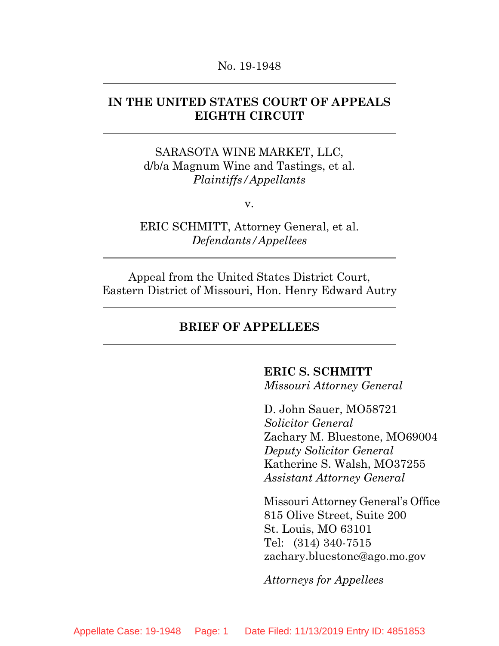#### No. 19-1948

## **IN THE UNITED STATES COURT OF APPEALS EIGHTH CIRCUIT**

SARASOTA WINE MARKET, LLC, d/b/a Magnum Wine and Tastings, et al. *Plaintiffs/Appellants*

v.

ERIC SCHMITT, Attorney General, et al. *Defendants/Appellees*

Appeal from the United States District Court, Eastern District of Missouri, Hon. Henry Edward Autry

### **BRIEF OF APPELLEES**

## **ERIC S. SCHMITT**

*Missouri Attorney General*

D. John Sauer, MO58721 *Solicitor General* Zachary M. Bluestone, MO69004 *Deputy Solicitor General* Katherine S. Walsh, MO37255 *Assistant Attorney General*

Missouri Attorney General's Office 815 Olive Street, Suite 200 St. Louis, MO 63101 Tel: (314) 340-7515 zachary.bluestone@ago.mo.gov

*Attorneys for Appellees*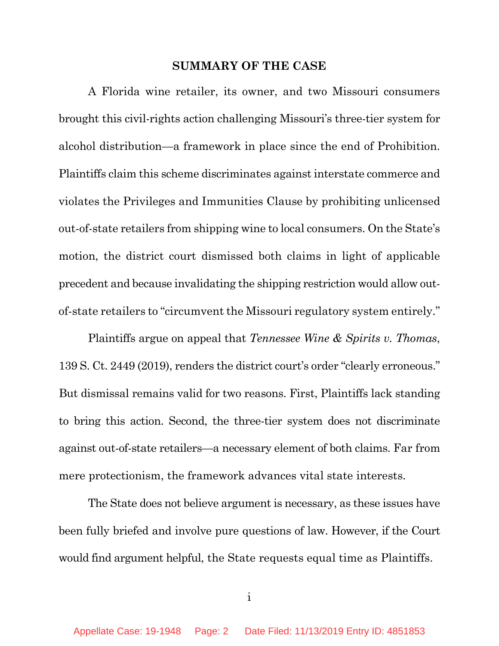#### **SUMMARY OF THE CASE**

A Florida wine retailer, its owner, and two Missouri consumers brought this civil-rights action challenging Missouri's three-tier system for alcohol distribution—a framework in place since the end of Prohibition. Plaintiffs claim this scheme discriminates against interstate commerce and violates the Privileges and Immunities Clause by prohibiting unlicensed out-of-state retailers from shipping wine to local consumers. On the State's motion, the district court dismissed both claims in light of applicable precedent and because invalidating the shipping restriction would allow outof-state retailers to "circumvent the Missouri regulatory system entirely."

Plaintiffs argue on appeal that *Tennessee Wine & Spirits v. Thomas*, 139 S. Ct. 2449 (2019), renders the district court's order "clearly erroneous." But dismissal remains valid for two reasons. First, Plaintiffs lack standing to bring this action. Second, the three-tier system does not discriminate against out-of-state retailers—a necessary element of both claims. Far from mere protectionism, the framework advances vital state interests.

The State does not believe argument is necessary, as these issues have been fully briefed and involve pure questions of law. However, if the Court would find argument helpful, the State requests equal time as Plaintiffs.

i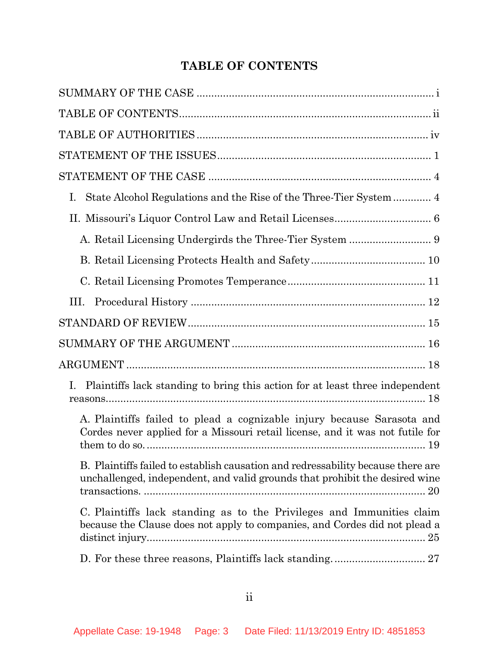# **TABLE OF CONTENTS**

| I.                                                                                                                                                              |
|-----------------------------------------------------------------------------------------------------------------------------------------------------------------|
|                                                                                                                                                                 |
|                                                                                                                                                                 |
|                                                                                                                                                                 |
|                                                                                                                                                                 |
| III.                                                                                                                                                            |
|                                                                                                                                                                 |
|                                                                                                                                                                 |
|                                                                                                                                                                 |
| Plaintiffs lack standing to bring this action for at least three independent<br>Ι.                                                                              |
| A. Plaintiffs failed to plead a cognizable injury because Sarasota and<br>Cordes never applied for a Missouri retail license, and it was not futile for         |
| B. Plaintiffs failed to establish causation and redressability because there are<br>unchallenged, independent, and valid grounds that prohibit the desired wine |
| C. Plaintiffs lack standing as to the Privileges and Immunities claim<br>because the Clause does not apply to companies, and Cordes did not plead a             |
|                                                                                                                                                                 |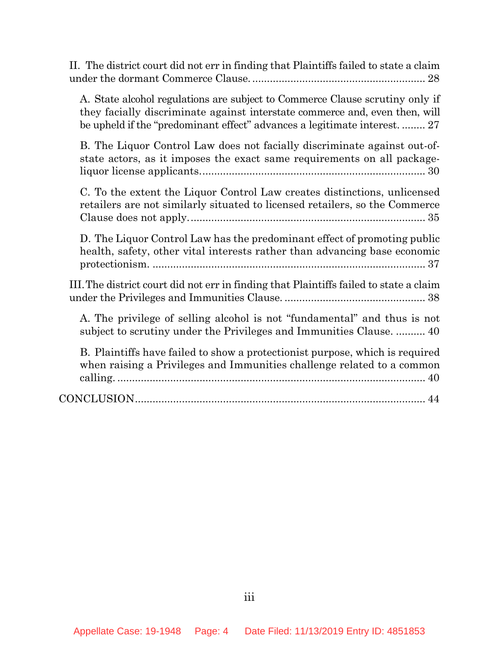II. The district court did not err in finding that Plaintiffs failed to state a claim under the dormant Commerce Clause. ........................................................... 28

A. State alcohol regulations are subject to Commerce Clause scrutiny only if they facially discriminate against interstate commerce and, even then, will be upheld if the "predominant effect" advances a legitimate interest. ........ 27

B. The Liquor Control Law does not facially discriminate against out-ofstate actors, as it imposes the exact same requirements on all packageliquor license applicants............................................................................. 30

C. To the extent the Liquor Control Law creates distinctions, unlicensed retailers are not similarly situated to licensed retailers, so the Commerce Clause does not apply................................................................................. 35

D. The Liquor Control Law has the predominant effect of promoting public health, safety, other vital interests rather than advancing base economic protectionism. ............................................................................................. 37

III.The district court did not err in finding that Plaintiffs failed to state a claim under the Privileges and Immunities Clause. ................................................ 38

A. The privilege of selling alcohol is not "fundamental" and thus is not subject to scrutiny under the Privileges and Immunities Clause. .......... 40

| B. Plaintiffs have failed to show a protection ist purpose, which is required |
|-------------------------------------------------------------------------------|
| when raising a Privileges and Immunities challenge related to a common        |
|                                                                               |
|                                                                               |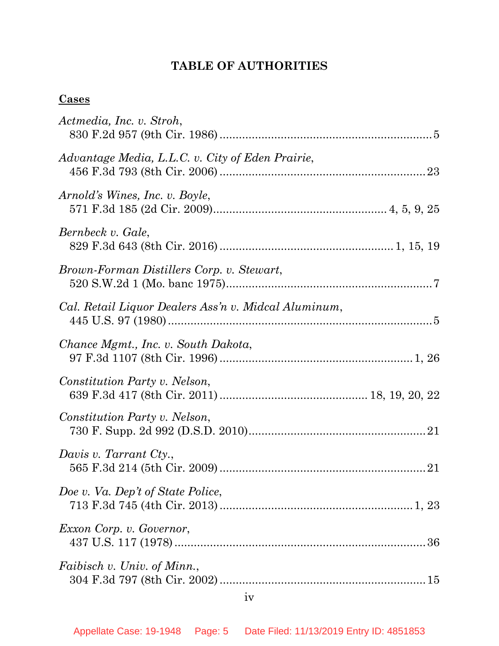# **TABLE OF AUTHORITIES**

# **Cases**

| Actmedia, Inc. v. Stroh,                             |
|------------------------------------------------------|
| Advantage Media, L.L.C. v. City of Eden Prairie,     |
| Arnold's Wines, Inc. v. Boyle,                       |
| Bernbeck v. Gale,                                    |
| Brown-Forman Distillers Corp. v. Stewart,            |
| Cal. Retail Liquor Dealers Ass'n v. Midcal Aluminum, |
| Chance Mgmt., Inc. v. South Dakota,                  |
| Constitution Party v. Nelson,                        |
| Constitution Party v. Nelson,                        |
| Davis v. Tarrant Cty.,                               |
| Doe v. Va. Dep't of State Police,                    |
| Exxon Corp. v. Governor,                             |
| Faibisch v. Univ. of Minn.,                          |
|                                                      |

iv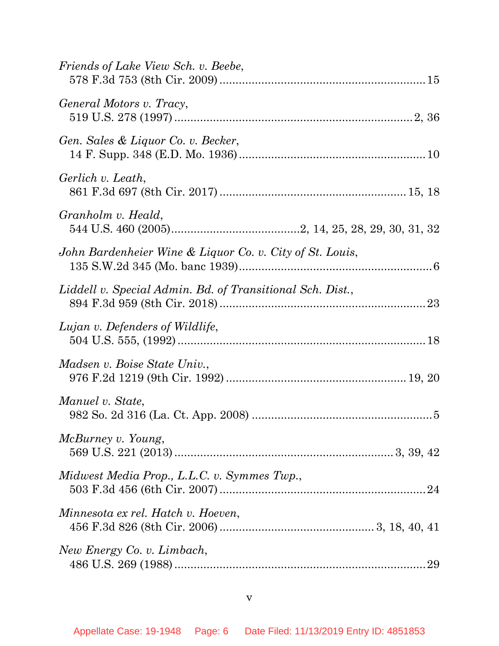| 29 |
|----|
|    |

v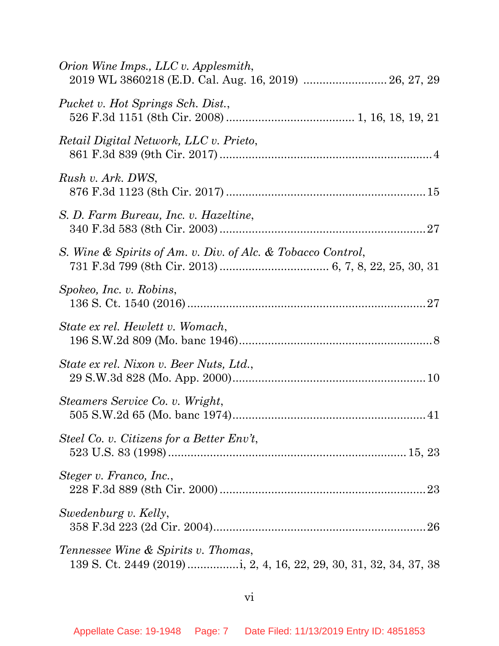| Orion Wine Imps., LLC v. Applesmith,                        |
|-------------------------------------------------------------|
| Pucket v. Hot Springs Sch. Dist.,                           |
| Retail Digital Network, LLC v. Prieto,                      |
| Rush v. Ark. DWS,                                           |
| S. D. Farm Bureau, Inc. v. Hazeltine,                       |
| S. Wine & Spirits of Am. v. Div. of Alc. & Tobacco Control, |
| Spokeo, Inc. v. Robins,                                     |
| State ex rel. Hewlett v. Womach,                            |
| State ex rel. Nixon v. Beer Nuts, Ltd.,                     |
| Steamers Service Co. v. Wright,                             |
| Steel Co. v. Citizens for a Better $Env$ ,                  |
| Steger v. Franco, Inc.,                                     |
| Swedenburg v. Kelly,                                        |
| Tennessee Wine & Spirits v. Thomas,                         |

# vi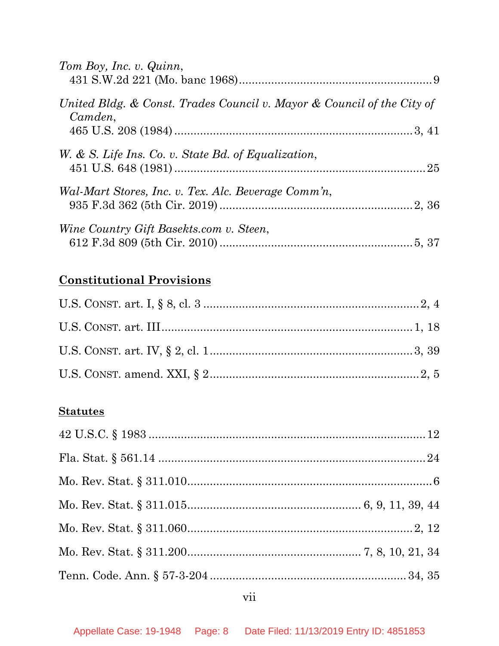| Tom Boy, Inc. v. Quinn,                                                           |  |
|-----------------------------------------------------------------------------------|--|
| United Bldg. & Const. Trades Council v. Mayor & Council of the City of<br>Camden, |  |
| W. & S. Life Ins. Co. v. State Bd. of Equalization,                               |  |
| Wal-Mart Stores, Inc. v. Tex. Alc. Beverage Comm'n,                               |  |
| Wine Country Gift Basekts.com v. Steen,                                           |  |

# **Constitutional Provisions**

# **Statutes**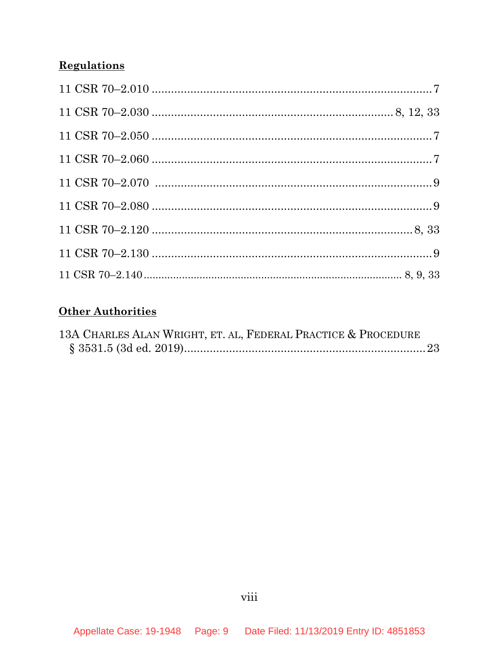# **Regulations**

# **Other Authorities**

| 13A CHARLES ALAN WRIGHT, ET. AL, FEDERAL PRACTICE & PROCEDURE |  |
|---------------------------------------------------------------|--|
|                                                               |  |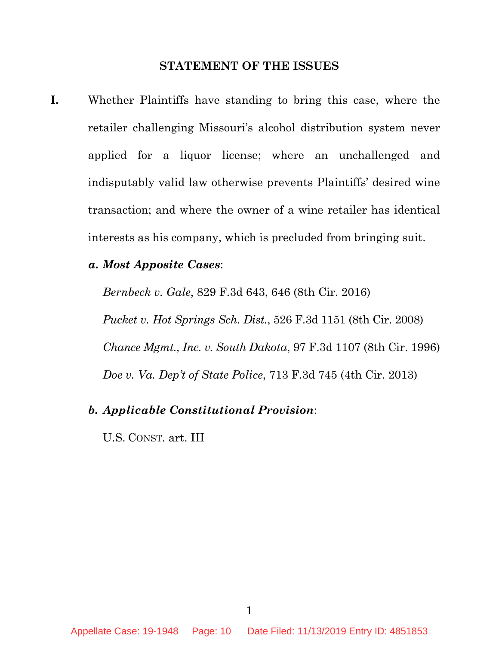#### **STATEMENT OF THE ISSUES**

**I.** Whether Plaintiffs have standing to bring this case, where the retailer challenging Missouri's alcohol distribution system never applied for a liquor license; where an unchallenged and indisputably valid law otherwise prevents Plaintiffs' desired wine transaction; and where the owner of a wine retailer has identical interests as his company, which is precluded from bringing suit.

#### *a. Most Apposite Cases*:

*Bernbeck v. Gale*, 829 F.3d 643, 646 (8th Cir. 2016) *Pucket v. Hot Springs Sch. Dist.*, 526 F.3d 1151 (8th Cir. 2008) *Chance Mgmt., Inc. v. South Dakota*, 97 F.3d 1107 (8th Cir. 1996) *Doe v. Va. Dep't of State Police*, 713 F.3d 745 (4th Cir. 2013)

## *b. Applicable Constitutional Provision*:

U.S. CONST. art. III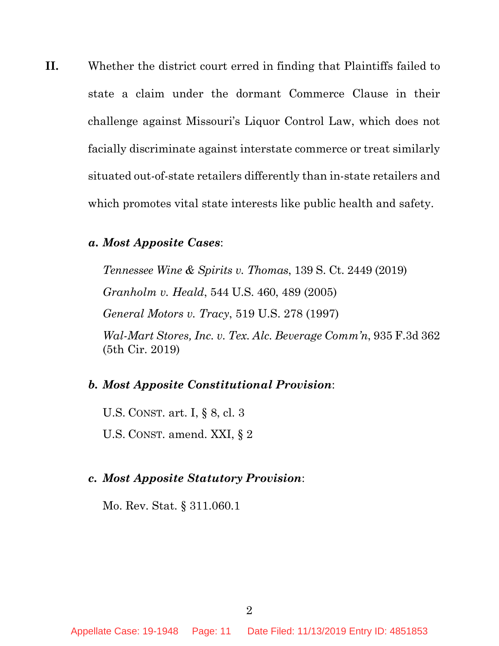**II.** Whether the district court erred in finding that Plaintiffs failed to state a claim under the dormant Commerce Clause in their challenge against Missouri's Liquor Control Law, which does not facially discriminate against interstate commerce or treat similarly situated out-of-state retailers differently than in-state retailers and which promotes vital state interests like public health and safety.

## *a. Most Apposite Cases*:

*Tennessee Wine & Spirits v. Thomas*, 139 S. Ct. 2449 (2019) *Granholm v. Heald*, 544 U.S. 460, 489 (2005) *General Motors v. Tracy*, 519 U.S. 278 (1997) *Wal-Mart Stores, Inc. v. Tex. Alc. Beverage Comm'n*, 935 F.3d 362 (5th Cir. 2019)

## *b. Most Apposite Constitutional Provision*:

U.S. CONST. art. I, § 8, cl. 3 U.S. CONST. amend. XXI, § 2

## *c. Most Apposite Statutory Provision*:

Mo. Rev. Stat. § 311.060.1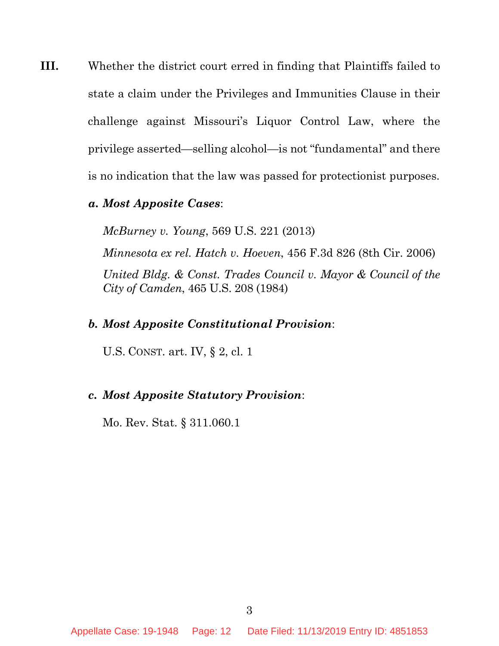- **III.** Whether the district court erred in finding that Plaintiffs failed to state a claim under the Privileges and Immunities Clause in their challenge against Missouri's Liquor Control Law, where the privilege asserted—selling alcohol—is not "fundamental" and there is no indication that the law was passed for protectionist purposes.
	- *a. Most Apposite Cases*:

*McBurney v. Young*, 569 U.S. 221 (2013) *Minnesota ex rel. Hatch v. Hoeven*, 456 F.3d 826 (8th Cir. 2006) *United Bldg. & Const. Trades Council v. Mayor & Council of the City of Camden*, 465 U.S. 208 (1984)

### *b. Most Apposite Constitutional Provision*:

U.S. CONST. art. IV, § 2, cl. 1

### *c. Most Apposite Statutory Provision*:

Mo. Rev. Stat. § 311.060.1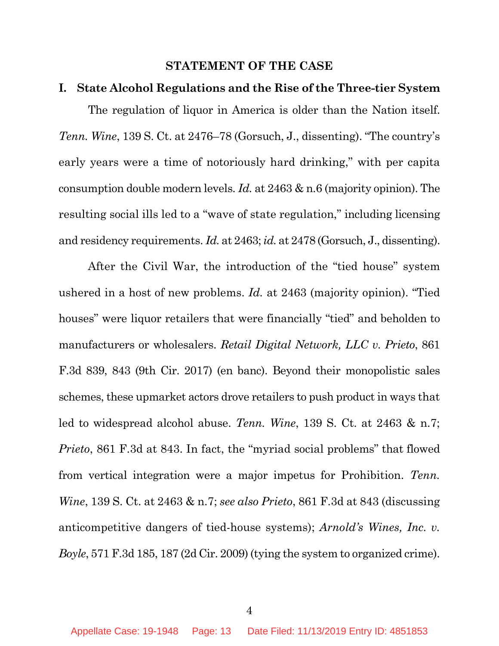#### **STATEMENT OF THE CASE**

### **I. State Alcohol Regulations and the Rise of the Three-tier System**

The regulation of liquor in America is older than the Nation itself. *Tenn. Wine*, 139 S. Ct. at 2476–78 (Gorsuch, J., dissenting). "The country's early years were a time of notoriously hard drinking," with per capita consumption double modern levels. *Id.* at 2463 & n.6 (majority opinion). The resulting social ills led to a "wave of state regulation," including licensing and residency requirements. *Id.* at 2463; *id.* at 2478 (Gorsuch, J., dissenting).

After the Civil War, the introduction of the "tied house" system ushered in a host of new problems. *Id.* at 2463 (majority opinion). "Tied houses" were liquor retailers that were financially "tied" and beholden to manufacturers or wholesalers. *Retail Digital Network, LLC v. Prieto*, 861 F.3d 839, 843 (9th Cir. 2017) (en banc). Beyond their monopolistic sales schemes, these upmarket actors drove retailers to push product in ways that led to widespread alcohol abuse. *Tenn. Wine*, 139 S. Ct. at 2463 & n.7; *Prieto*, 861 F.3d at 843. In fact, the "myriad social problems" that flowed from vertical integration were a major impetus for Prohibition. *Tenn. Wine*, 139 S. Ct. at 2463 & n.7; *see also Prieto*, 861 F.3d at 843 (discussing anticompetitive dangers of tied-house systems); *Arnold's Wines, Inc. v. Boyle*, 571 F.3d 185, 187 (2d Cir. 2009) (tying the system to organized crime).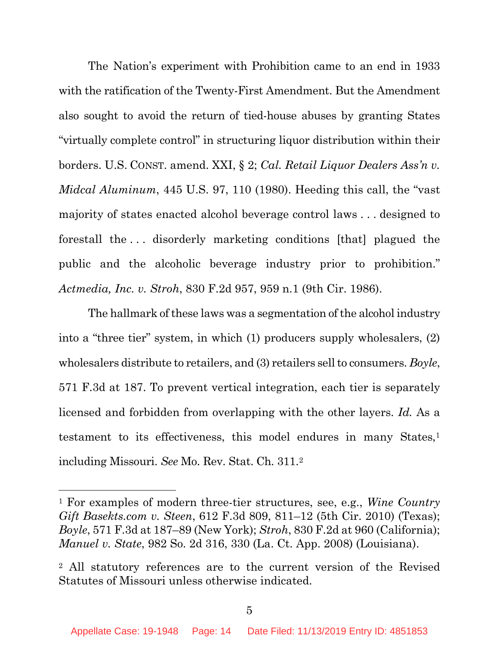The Nation's experiment with Prohibition came to an end in 1933 with the ratification of the Twenty-First Amendment. But the Amendment also sought to avoid the return of tied-house abuses by granting States "virtually complete control" in structuring liquor distribution within their borders. U.S. CONST. amend. XXI, § 2; *Cal. Retail Liquor Dealers Ass'n v. Midcal Aluminum*, 445 U.S. 97, 110 (1980). Heeding this call, the "vast majority of states enacted alcohol beverage control laws . . . designed to forestall the . . . disorderly marketing conditions [that] plagued the public and the alcoholic beverage industry prior to prohibition." *Actmedia, Inc. v. Stroh*, 830 F.2d 957, 959 n.1 (9th Cir. 1986).

The hallmark of these laws was a segmentation of the alcohol industry into a "three tier" system, in which (1) producers supply wholesalers, (2) wholesalers distribute to retailers, and (3) retailers sell to consumers. *Boyle*, 571 F.3d at 187. To prevent vertical integration, each tier is separately licensed and forbidden from overlapping with the other layers. *Id.* As a testament to its effectiveness, this model endures in many States,<sup>1</sup> including Missouri. *See* Mo. Rev. Stat. Ch. 311.2

 $\overline{a}$ 

<sup>1</sup> For examples of modern three-tier structures, see, e.g., *Wine Country Gift Basekts.com v. Steen*, 612 F.3d 809, 811–12 (5th Cir. 2010) (Texas); *Boyle*, 571 F.3d at 187–89 (New York); *Stroh*, 830 F.2d at 960 (California); *Manuel v. State*, 982 So. 2d 316, 330 (La. Ct. App. 2008) (Louisiana).

<sup>2</sup> All statutory references are to the current version of the Revised Statutes of Missouri unless otherwise indicated.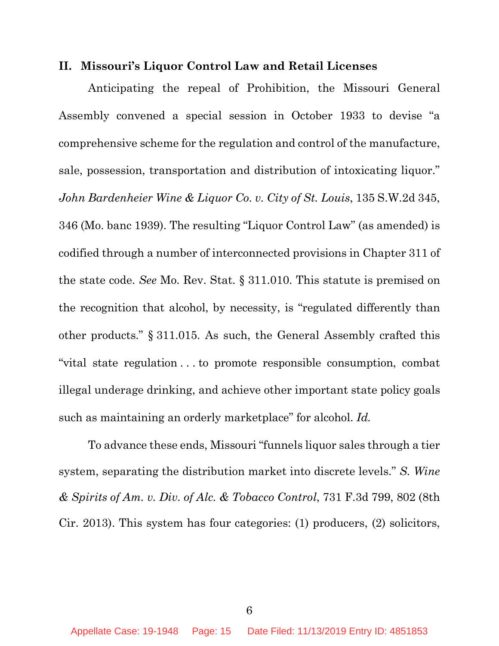#### **II. Missouri's Liquor Control Law and Retail Licenses**

Anticipating the repeal of Prohibition, the Missouri General Assembly convened a special session in October 1933 to devise "a comprehensive scheme for the regulation and control of the manufacture, sale, possession, transportation and distribution of intoxicating liquor." *John Bardenheier Wine & Liquor Co. v. City of St. Louis*, 135 S.W.2d 345, 346 (Mo. banc 1939). The resulting "Liquor Control Law" (as amended) is codified through a number of interconnected provisions in Chapter 311 of the state code. *See* Mo. Rev. Stat. § 311.010. This statute is premised on the recognition that alcohol, by necessity, is "regulated differently than other products." § 311.015. As such, the General Assembly crafted this "vital state regulation . . . to promote responsible consumption, combat illegal underage drinking, and achieve other important state policy goals such as maintaining an orderly marketplace" for alcohol. *Id.*

To advance these ends, Missouri "funnels liquor sales through a tier system, separating the distribution market into discrete levels." *S. Wine & Spirits of Am. v. Div. of Alc. & Tobacco Control*, 731 F.3d 799, 802 (8th Cir. 2013). This system has four categories: (1) producers, (2) solicitors,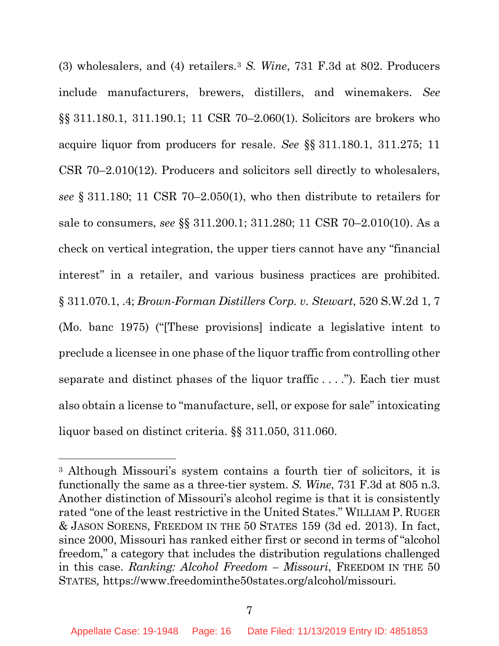(3) wholesalers, and (4) retailers.3 *S. Wine*, 731 F.3d at 802. Producers include manufacturers, brewers, distillers, and winemakers. *See*  §§ 311.180.1, 311.190.1; 11 CSR 70–2.060(1). Solicitors are brokers who acquire liquor from producers for resale. *See* §§ 311.180.1, 311.275; 11 CSR 70–2.010(12). Producers and solicitors sell directly to wholesalers, *see* § 311.180; 11 CSR 70–2.050(1), who then distribute to retailers for sale to consumers, *see* §§ 311.200.1; 311.280; 11 CSR 70–2.010(10). As a check on vertical integration, the upper tiers cannot have any "financial interest" in a retailer, and various business practices are prohibited. § 311.070.1, .4; *Brown-Forman Distillers Corp. v. Stewart*, 520 S.W.2d 1, 7 (Mo. banc 1975) ("[These provisions] indicate a legislative intent to preclude a licensee in one phase of the liquor traffic from controlling other separate and distinct phases of the liquor traffic . . . ."). Each tier must also obtain a license to "manufacture, sell, or expose for sale" intoxicating liquor based on distinct criteria. §§ 311.050, 311.060.

 $\overline{a}$ 

<sup>3</sup> Although Missouri's system contains a fourth tier of solicitors, it is functionally the same as a three-tier system. *S. Wine*, 731 F.3d at 805 n.3. Another distinction of Missouri's alcohol regime is that it is consistently rated "one of the least restrictive in the United States." WILLIAM P. RUGER & JASON SORENS, FREEDOM IN THE 50 STATES 159 (3d ed. 2013). In fact, since 2000, Missouri has ranked either first or second in terms of "alcohol freedom," a category that includes the distribution regulations challenged in this case. *Ranking: Alcohol Freedom – Missouri*, FREEDOM IN THE 50 STATES*,* https://www.freedominthe50states.org/alcohol/missouri.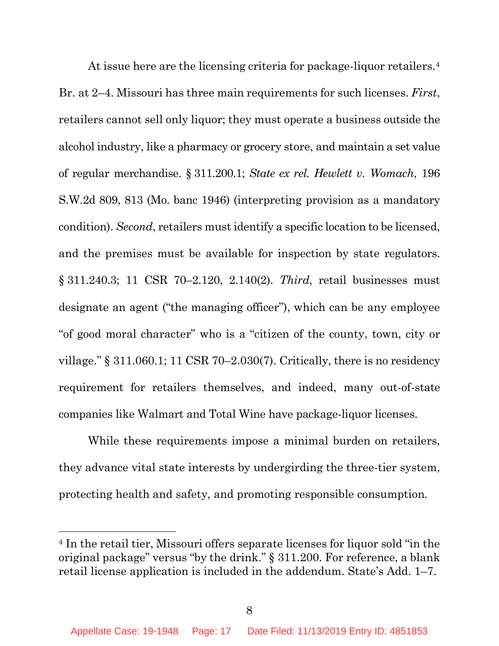At issue here are the licensing criteria for package-liquor retailers.<sup>4</sup> Br. at 2–4. Missouri has three main requirements for such licenses. *First*, retailers cannot sell only liquor; they must operate a business outside the alcohol industry, like a pharmacy or grocery store, and maintain a set value of regular merchandise. § 311.200.1; *State ex rel. Hewlett v. Womach*, 196 S.W.2d 809, 813 (Mo. banc 1946) (interpreting provision as a mandatory condition). *Second*, retailers must identify a specific location to be licensed, and the premises must be available for inspection by state regulators. § 311.240.3; 11 CSR 70–2.120, 2.140(2). *Third*, retail businesses must designate an agent ("the managing officer"), which can be any employee "of good moral character" who is a "citizen of the county, town, city or village." § 311.060.1; 11 CSR 70–2.030(7). Critically, there is no residency requirement for retailers themselves, and indeed, many out-of-state companies like Walmart and Total Wine have package-liquor licenses.

While these requirements impose a minimal burden on retailers, they advance vital state interests by undergirding the three-tier system, protecting health and safety, and promoting responsible consumption.

l

<sup>4</sup> In the retail tier, Missouri offers separate licenses for liquor sold "in the original package" versus "by the drink." § 311.200. For reference, a blank retail license application is included in the addendum. State's Add. 1–7.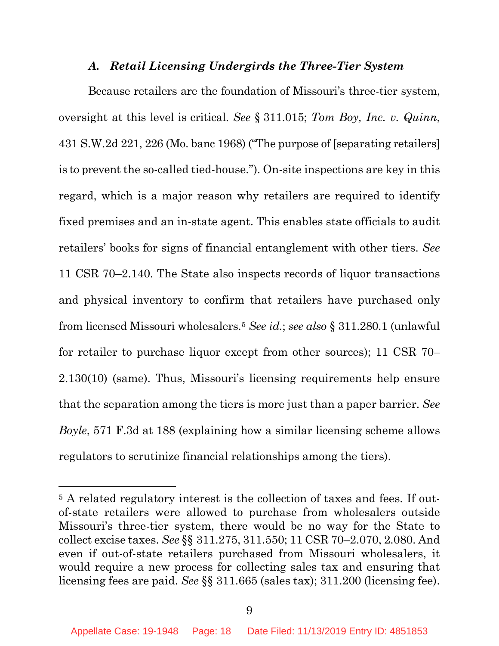### *A. Retail Licensing Undergirds the Three-Tier System*

Because retailers are the foundation of Missouri's three-tier system, oversight at this level is critical. *See* § 311.015; *Tom Boy, Inc. v. Quinn*, 431 S.W.2d 221, 226 (Mo. banc 1968) ("The purpose of [separating retailers] is to prevent the so-called tied-house."). On-site inspections are key in this regard, which is a major reason why retailers are required to identify fixed premises and an in-state agent. This enables state officials to audit retailers' books for signs of financial entanglement with other tiers. *See*  11 CSR 70–2.140. The State also inspects records of liquor transactions and physical inventory to confirm that retailers have purchased only from licensed Missouri wholesalers.5 *See id.*; *see also* § 311.280.1 (unlawful for retailer to purchase liquor except from other sources); 11 CSR 70– 2.130(10) (same). Thus, Missouri's licensing requirements help ensure that the separation among the tiers is more just than a paper barrier. *See Boyle*, 571 F.3d at 188 (explaining how a similar licensing scheme allows regulators to scrutinize financial relationships among the tiers).

 $\overline{a}$ 

<sup>&</sup>lt;sup>5</sup> A related regulatory interest is the collection of taxes and fees. If outof-state retailers were allowed to purchase from wholesalers outside Missouri's three-tier system, there would be no way for the State to collect excise taxes. *See* §§ 311.275, 311.550; 11 CSR 70–2.070, 2.080. And even if out-of-state retailers purchased from Missouri wholesalers, it would require a new process for collecting sales tax and ensuring that licensing fees are paid. *See* §§ 311.665 (sales tax); 311.200 (licensing fee).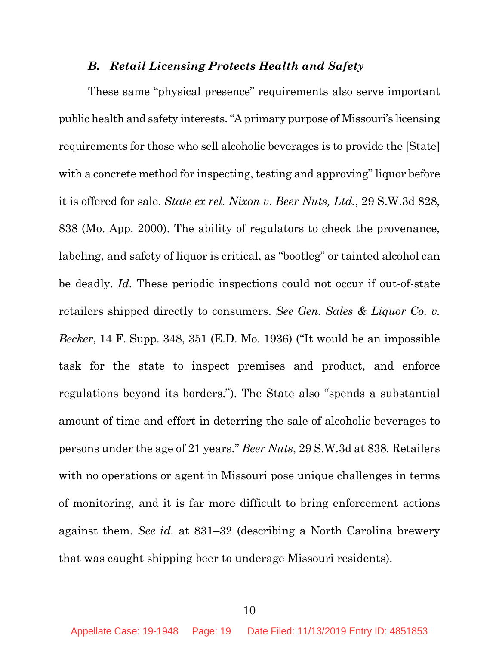### *B. Retail Licensing Protects Health and Safety*

These same "physical presence" requirements also serve important public health and safety interests. "A primary purpose of Missouri's licensing requirements for those who sell alcoholic beverages is to provide the [State] with a concrete method for inspecting, testing and approving" liquor before it is offered for sale. *State ex rel. Nixon v. Beer Nuts, Ltd.*, 29 S.W.3d 828, 838 (Mo. App. 2000). The ability of regulators to check the provenance, labeling, and safety of liquor is critical, as "bootleg" or tainted alcohol can be deadly. *Id.* These periodic inspections could not occur if out-of-state retailers shipped directly to consumers. *See Gen. Sales & Liquor Co. v. Becker*, 14 F. Supp. 348, 351 (E.D. Mo. 1936) ("It would be an impossible task for the state to inspect premises and product, and enforce regulations beyond its borders."). The State also "spends a substantial amount of time and effort in deterring the sale of alcoholic beverages to persons under the age of 21 years." *Beer Nuts*, 29 S.W.3d at 838*.* Retailers with no operations or agent in Missouri pose unique challenges in terms of monitoring, and it is far more difficult to bring enforcement actions against them. *See id.* at 831–32 (describing a North Carolina brewery that was caught shipping beer to underage Missouri residents).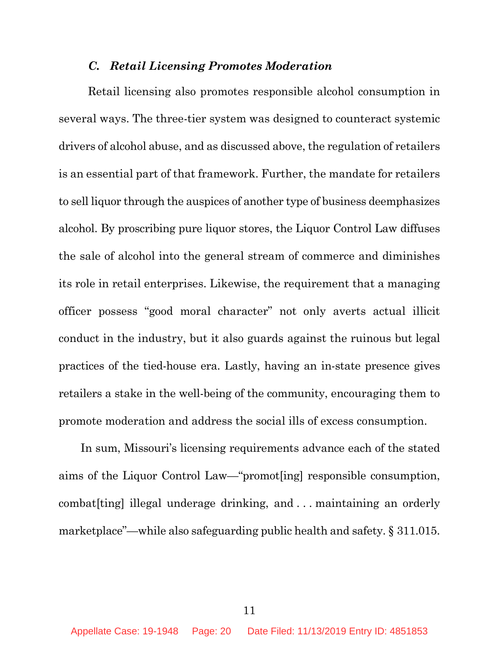## *C. Retail Licensing Promotes Moderation*

Retail licensing also promotes responsible alcohol consumption in several ways. The three-tier system was designed to counteract systemic drivers of alcohol abuse, and as discussed above, the regulation of retailers is an essential part of that framework. Further, the mandate for retailers to sell liquor through the auspices of another type of business deemphasizes alcohol. By proscribing pure liquor stores, the Liquor Control Law diffuses the sale of alcohol into the general stream of commerce and diminishes its role in retail enterprises. Likewise, the requirement that a managing officer possess "good moral character" not only averts actual illicit conduct in the industry, but it also guards against the ruinous but legal practices of the tied-house era. Lastly, having an in-state presence gives retailers a stake in the well-being of the community, encouraging them to promote moderation and address the social ills of excess consumption.

In sum, Missouri's licensing requirements advance each of the stated aims of the Liquor Control Law—"promot[ing] responsible consumption, combat[ting] illegal underage drinking, and . . . maintaining an orderly marketplace"—while also safeguarding public health and safety. § 311.015.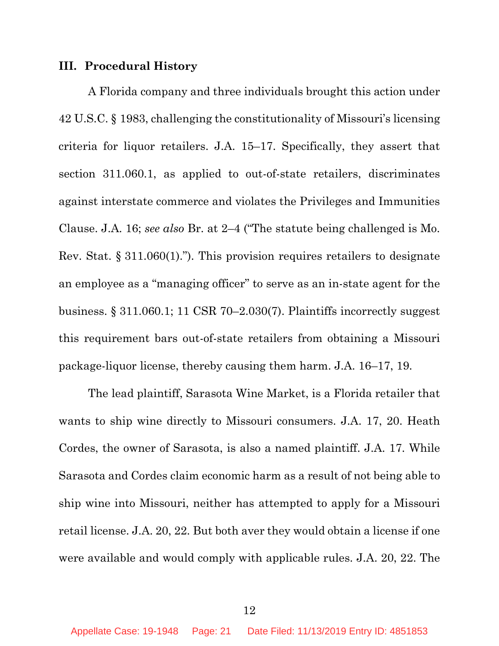#### **III. Procedural History**

A Florida company and three individuals brought this action under 42 U.S.C. § 1983, challenging the constitutionality of Missouri's licensing criteria for liquor retailers. J.A. 15–17. Specifically, they assert that section 311.060.1, as applied to out-of-state retailers, discriminates against interstate commerce and violates the Privileges and Immunities Clause. J.A. 16; *see also* Br. at 2–4 ("The statute being challenged is Mo. Rev. Stat. § 311.060(1)."). This provision requires retailers to designate an employee as a "managing officer" to serve as an in-state agent for the business. § 311.060.1; 11 CSR 70–2.030(7). Plaintiffs incorrectly suggest this requirement bars out-of-state retailers from obtaining a Missouri package-liquor license, thereby causing them harm. J.A. 16–17, 19.

The lead plaintiff, Sarasota Wine Market, is a Florida retailer that wants to ship wine directly to Missouri consumers. J.A. 17, 20. Heath Cordes, the owner of Sarasota, is also a named plaintiff. J.A. 17. While Sarasota and Cordes claim economic harm as a result of not being able to ship wine into Missouri, neither has attempted to apply for a Missouri retail license. J.A. 20, 22. But both aver they would obtain a license if one were available and would comply with applicable rules. J.A. 20, 22. The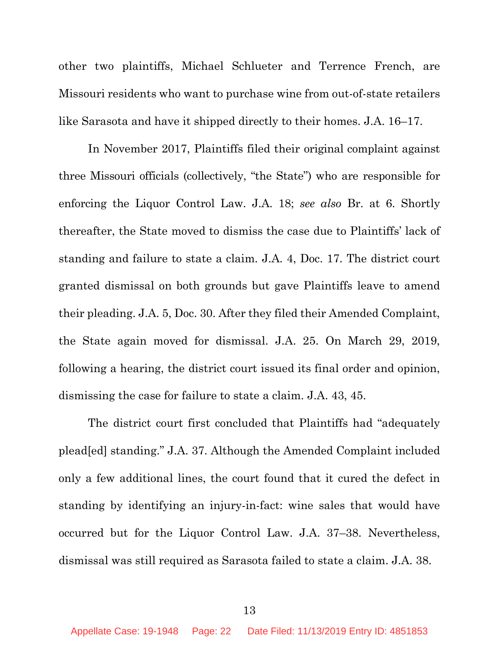other two plaintiffs, Michael Schlueter and Terrence French, are Missouri residents who want to purchase wine from out-of-state retailers like Sarasota and have it shipped directly to their homes. J.A. 16–17.

In November 2017, Plaintiffs filed their original complaint against three Missouri officials (collectively, "the State") who are responsible for enforcing the Liquor Control Law. J.A. 18; *see also* Br. at 6. Shortly thereafter, the State moved to dismiss the case due to Plaintiffs' lack of standing and failure to state a claim. J.A. 4, Doc. 17. The district court granted dismissal on both grounds but gave Plaintiffs leave to amend their pleading. J.A. 5, Doc. 30. After they filed their Amended Complaint, the State again moved for dismissal. J.A. 25. On March 29, 2019, following a hearing, the district court issued its final order and opinion, dismissing the case for failure to state a claim. J.A. 43, 45.

The district court first concluded that Plaintiffs had "adequately plead[ed] standing." J.A. 37. Although the Amended Complaint included only a few additional lines, the court found that it cured the defect in standing by identifying an injury-in-fact: wine sales that would have occurred but for the Liquor Control Law. J.A. 37–38. Nevertheless, dismissal was still required as Sarasota failed to state a claim. J.A. 38.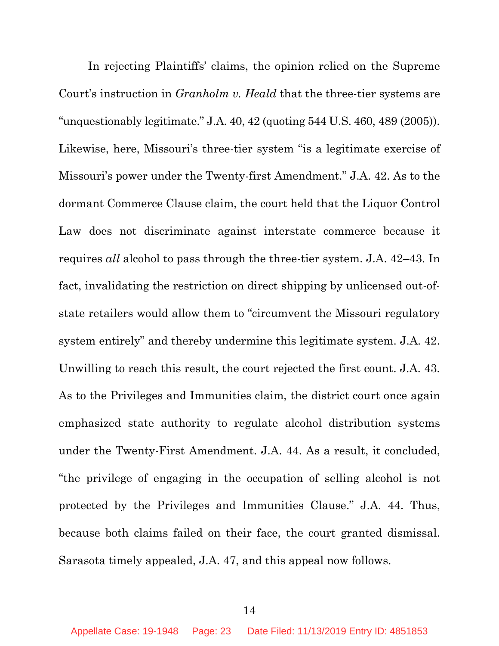In rejecting Plaintiffs' claims, the opinion relied on the Supreme Court's instruction in *Granholm v. Heald* that the three-tier systems are "unquestionably legitimate." J.A. 40, 42 (quoting 544 U.S. 460, 489 (2005)). Likewise, here, Missouri's three-tier system "is a legitimate exercise of Missouri's power under the Twenty-first Amendment." J.A. 42. As to the dormant Commerce Clause claim, the court held that the Liquor Control Law does not discriminate against interstate commerce because it requires *all* alcohol to pass through the three-tier system. J.A. 42–43. In fact, invalidating the restriction on direct shipping by unlicensed out-ofstate retailers would allow them to "circumvent the Missouri regulatory system entirely" and thereby undermine this legitimate system. J.A. 42. Unwilling to reach this result, the court rejected the first count. J.A. 43. As to the Privileges and Immunities claim, the district court once again emphasized state authority to regulate alcohol distribution systems under the Twenty-First Amendment. J.A. 44. As a result, it concluded, "the privilege of engaging in the occupation of selling alcohol is not protected by the Privileges and Immunities Clause." J.A. 44. Thus, because both claims failed on their face, the court granted dismissal. Sarasota timely appealed, J.A. 47, and this appeal now follows.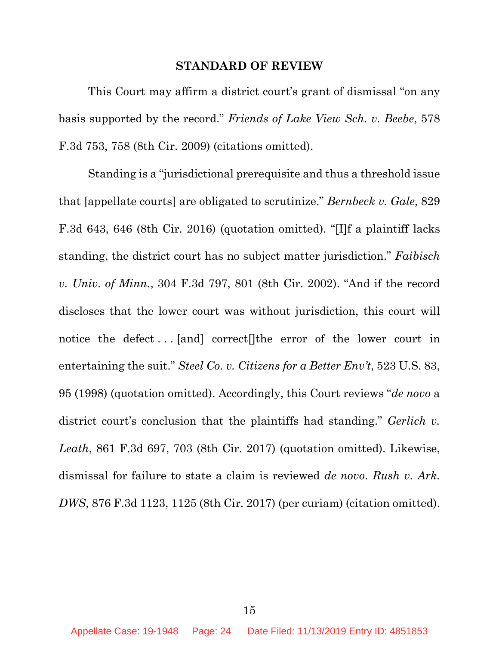#### **STANDARD OF REVIEW**

This Court may affirm a district court's grant of dismissal "on any basis supported by the record." *Friends of Lake View Sch. v. Beebe*, 578 F.3d 753, 758 (8th Cir. 2009) (citations omitted).

Standing is a "jurisdictional prerequisite and thus a threshold issue that [appellate courts] are obligated to scrutinize." *Bernbeck v. Gale*, 829 F.3d 643, 646 (8th Cir. 2016) (quotation omitted). "[I]f a plaintiff lacks standing, the district court has no subject matter jurisdiction." *Faibisch v. Univ. of Minn.*, 304 F.3d 797, 801 (8th Cir. 2002). "And if the record discloses that the lower court was without jurisdiction, this court will notice the defect . . . [and] correct[]the error of the lower court in entertaining the suit." *Steel Co. v. Citizens for a Better Env't*, 523 U.S. 83, 95 (1998) (quotation omitted). Accordingly, this Court reviews "*de novo* a district court's conclusion that the plaintiffs had standing." *Gerlich v. Leath*, 861 F.3d 697, 703 (8th Cir. 2017) (quotation omitted). Likewise, dismissal for failure to state a claim is reviewed *de novo*. *Rush v. Ark. DWS*, 876 F.3d 1123, 1125 (8th Cir. 2017) (per curiam) (citation omitted).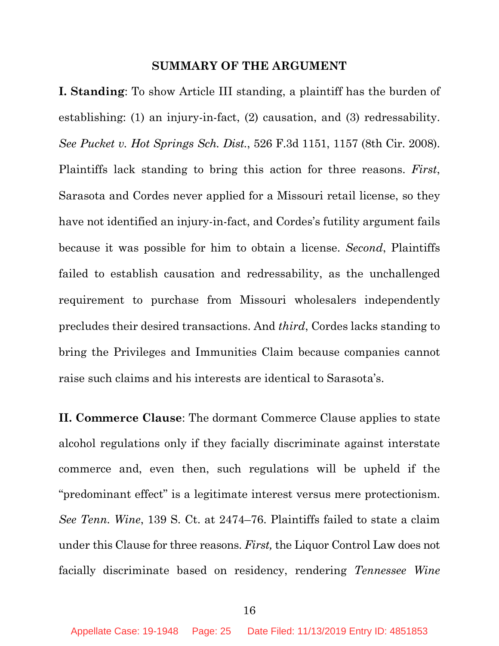#### **SUMMARY OF THE ARGUMENT**

**I. Standing**: To show Article III standing, a plaintiff has the burden of establishing: (1) an injury-in-fact, (2) causation, and (3) redressability. *See Pucket v. Hot Springs Sch. Dist.*, 526 F.3d 1151, 1157 (8th Cir. 2008). Plaintiffs lack standing to bring this action for three reasons. *First*, Sarasota and Cordes never applied for a Missouri retail license, so they have not identified an injury-in-fact, and Cordes's futility argument fails because it was possible for him to obtain a license. *Second*, Plaintiffs failed to establish causation and redressability, as the unchallenged requirement to purchase from Missouri wholesalers independently precludes their desired transactions. And *third*, Cordes lacks standing to bring the Privileges and Immunities Claim because companies cannot raise such claims and his interests are identical to Sarasota's.

**II. Commerce Clause**: The dormant Commerce Clause applies to state alcohol regulations only if they facially discriminate against interstate commerce and, even then, such regulations will be upheld if the "predominant effect" is a legitimate interest versus mere protectionism. *See Tenn. Wine*, 139 S. Ct. at 2474–76. Plaintiffs failed to state a claim under this Clause for three reasons. *First,* the Liquor Control Law does not facially discriminate based on residency, rendering *Tennessee Wine*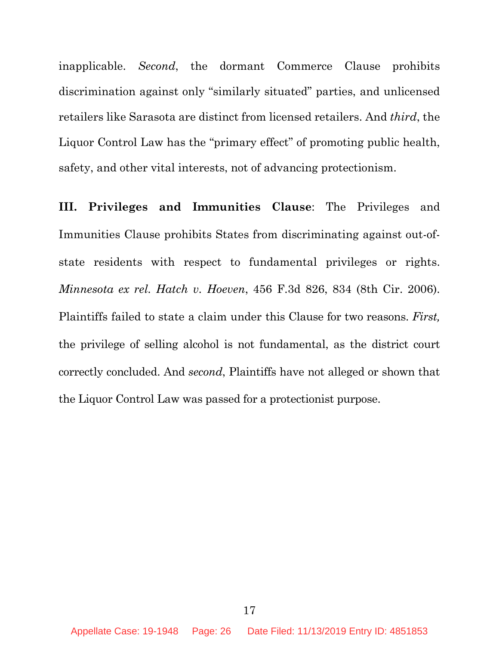inapplicable. *Second*, the dormant Commerce Clause prohibits discrimination against only "similarly situated" parties, and unlicensed retailers like Sarasota are distinct from licensed retailers. And *third*, the Liquor Control Law has the "primary effect" of promoting public health, safety, and other vital interests, not of advancing protectionism.

**III. Privileges and Immunities Clause**: The Privileges and Immunities Clause prohibits States from discriminating against out-ofstate residents with respect to fundamental privileges or rights. *Minnesota ex rel. Hatch v. Hoeven*, 456 F.3d 826, 834 (8th Cir. 2006). Plaintiffs failed to state a claim under this Clause for two reasons. *First,*  the privilege of selling alcohol is not fundamental, as the district court correctly concluded. And *second*, Plaintiffs have not alleged or shown that the Liquor Control Law was passed for a protectionist purpose.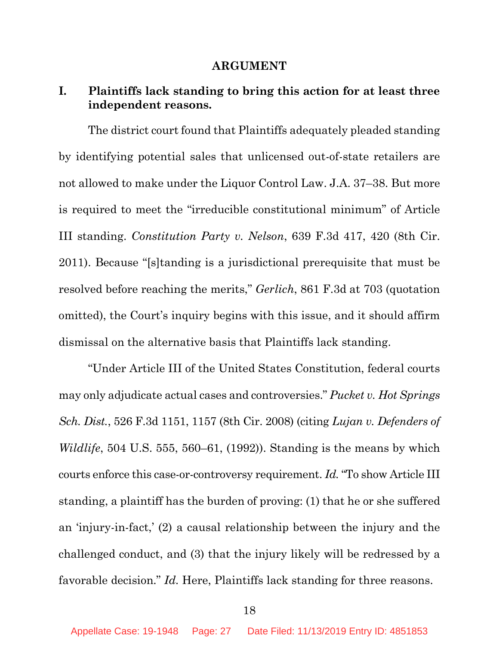#### **ARGUMENT**

## **I. Plaintiffs lack standing to bring this action for at least three independent reasons.**

The district court found that Plaintiffs adequately pleaded standing by identifying potential sales that unlicensed out-of-state retailers are not allowed to make under the Liquor Control Law. J.A. 37–38. But more is required to meet the "irreducible constitutional minimum" of Article III standing. *Constitution Party v. Nelson*, 639 F.3d 417, 420 (8th Cir. 2011). Because "[s]tanding is a jurisdictional prerequisite that must be resolved before reaching the merits," *Gerlich*, 861 F.3d at 703 (quotation omitted), the Court's inquiry begins with this issue, and it should affirm dismissal on the alternative basis that Plaintiffs lack standing.

"Under Article III of the United States Constitution, federal courts may only adjudicate actual cases and controversies." *Pucket v. Hot Springs Sch. Dist.*, 526 F.3d 1151, 1157 (8th Cir. 2008) (citing *Lujan v. Defenders of Wildlife*, 504 U.S. 555, 560–61, (1992)). Standing is the means by which courts enforce this case-or-controversy requirement. *Id.* "To show Article III standing, a plaintiff has the burden of proving: (1) that he or she suffered an 'injury-in-fact,' (2) a causal relationship between the injury and the challenged conduct, and (3) that the injury likely will be redressed by a favorable decision." *Id.* Here, Plaintiffs lack standing for three reasons.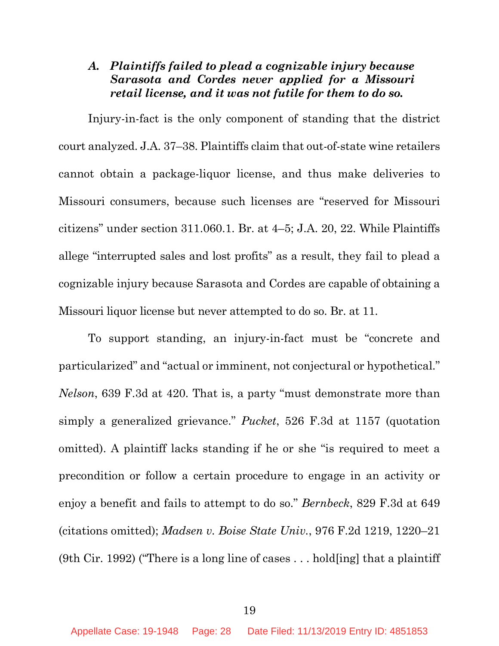# *A. Plaintiffs failed to plead a cognizable injury because Sarasota and Cordes never applied for a Missouri retail license, and it was not futile for them to do so.*

Injury-in-fact is the only component of standing that the district court analyzed. J.A. 37–38. Plaintiffs claim that out-of-state wine retailers cannot obtain a package-liquor license, and thus make deliveries to Missouri consumers, because such licenses are "reserved for Missouri citizens" under section 311.060.1. Br. at 4–5; J.A. 20, 22. While Plaintiffs allege "interrupted sales and lost profits" as a result, they fail to plead a cognizable injury because Sarasota and Cordes are capable of obtaining a Missouri liquor license but never attempted to do so. Br. at 11.

To support standing, an injury-in-fact must be "concrete and particularized" and "actual or imminent, not conjectural or hypothetical." *Nelson*, 639 F.3d at 420. That is, a party "must demonstrate more than simply a generalized grievance." *Pucket*, 526 F.3d at 1157 (quotation omitted). A plaintiff lacks standing if he or she "is required to meet a precondition or follow a certain procedure to engage in an activity or enjoy a benefit and fails to attempt to do so." *Bernbeck*, 829 F.3d at 649 (citations omitted); *Madsen v. Boise State Univ.*, 976 F.2d 1219, 1220–21 (9th Cir. 1992) ("There is a long line of cases . . . hold[ing] that a plaintiff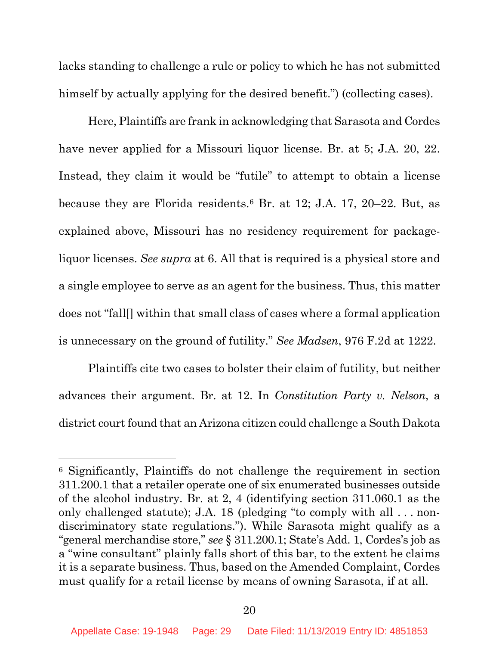lacks standing to challenge a rule or policy to which he has not submitted himself by actually applying for the desired benefit.") (collecting cases).

Here, Plaintiffs are frank in acknowledging that Sarasota and Cordes have never applied for a Missouri liquor license. Br. at 5; J.A. 20, 22. Instead, they claim it would be "futile" to attempt to obtain a license because they are Florida residents.6 Br. at 12; J.A. 17, 20–22. But, as explained above, Missouri has no residency requirement for packageliquor licenses. *See supra* at 6. All that is required is a physical store and a single employee to serve as an agent for the business. Thus, this matter does not "fall[] within that small class of cases where a formal application is unnecessary on the ground of futility." *See Madsen*, 976 F.2d at 1222.

Plaintiffs cite two cases to bolster their claim of futility, but neither advances their argument. Br. at 12. In *Constitution Party v. Nelson*, a district court found that an Arizona citizen could challenge a South Dakota

 $\overline{a}$ 

<sup>6</sup> Significantly, Plaintiffs do not challenge the requirement in section 311.200.1 that a retailer operate one of six enumerated businesses outside of the alcohol industry. Br. at 2, 4 (identifying section 311.060.1 as the only challenged statute); J.A. 18 (pledging "to comply with all . . . nondiscriminatory state regulations."). While Sarasota might qualify as a "general merchandise store," *see* § 311.200.1; State's Add. 1, Cordes's job as a "wine consultant" plainly falls short of this bar, to the extent he claims it is a separate business. Thus, based on the Amended Complaint, Cordes must qualify for a retail license by means of owning Sarasota, if at all.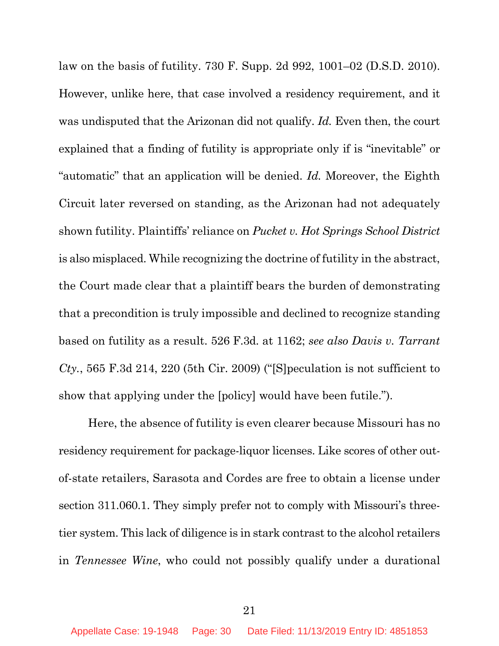law on the basis of futility. 730 F. Supp. 2d 992, 1001–02 (D.S.D. 2010). However, unlike here, that case involved a residency requirement, and it was undisputed that the Arizonan did not qualify. *Id.* Even then, the court explained that a finding of futility is appropriate only if is "inevitable" or "automatic" that an application will be denied. *Id.* Moreover, the Eighth Circuit later reversed on standing, as the Arizonan had not adequately shown futility. Plaintiffs' reliance on *Pucket v. Hot Springs School District* is also misplaced. While recognizing the doctrine of futility in the abstract, the Court made clear that a plaintiff bears the burden of demonstrating that a precondition is truly impossible and declined to recognize standing based on futility as a result. 526 F.3d. at 1162; *see also Davis v. Tarrant Cty.*, 565 F.3d 214, 220 (5th Cir. 2009) ("[S]peculation is not sufficient to show that applying under the [policy] would have been futile.").

Here, the absence of futility is even clearer because Missouri has no residency requirement for package-liquor licenses. Like scores of other outof-state retailers, Sarasota and Cordes are free to obtain a license under section 311.060.1. They simply prefer not to comply with Missouri's threetier system. This lack of diligence is in stark contrast to the alcohol retailers in *Tennessee Wine*, who could not possibly qualify under a durational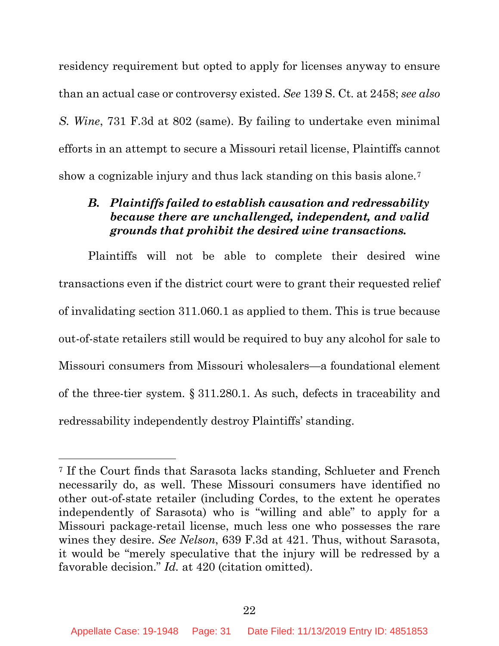residency requirement but opted to apply for licenses anyway to ensure than an actual case or controversy existed. *See* 139 S. Ct. at 2458; *see also S. Wine*, 731 F.3d at 802 (same). By failing to undertake even minimal efforts in an attempt to secure a Missouri retail license, Plaintiffs cannot show a cognizable injury and thus lack standing on this basis alone.7

## *B. Plaintiffs failed to establish causation and redressability because there are unchallenged, independent, and valid grounds that prohibit the desired wine transactions.*

Plaintiffs will not be able to complete their desired wine transactions even if the district court were to grant their requested relief of invalidating section 311.060.1 as applied to them. This is true because out-of-state retailers still would be required to buy any alcohol for sale to Missouri consumers from Missouri wholesalers—a foundational element of the three-tier system. § 311.280.1. As such, defects in traceability and redressability independently destroy Plaintiffs' standing.

 $\overline{a}$ 

<sup>7</sup> If the Court finds that Sarasota lacks standing, Schlueter and French necessarily do, as well. These Missouri consumers have identified no other out-of-state retailer (including Cordes, to the extent he operates independently of Sarasota) who is "willing and able" to apply for a Missouri package-retail license, much less one who possesses the rare wines they desire. *See Nelson*, 639 F.3d at 421. Thus, without Sarasota, it would be "merely speculative that the injury will be redressed by a favorable decision." *Id.* at 420 (citation omitted).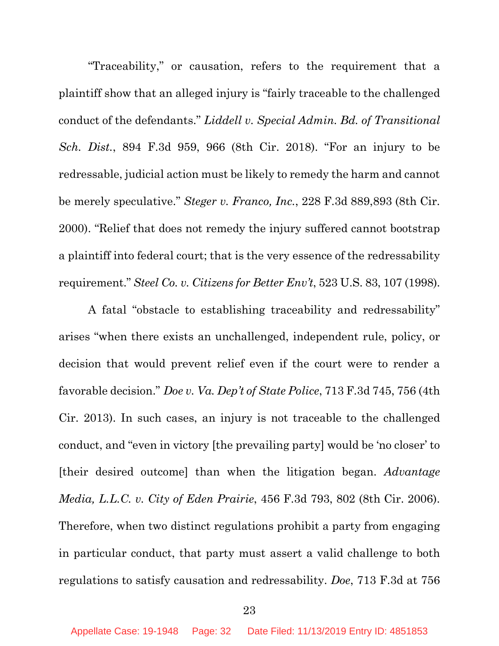"Traceability," or causation, refers to the requirement that a plaintiff show that an alleged injury is "fairly traceable to the challenged conduct of the defendants." *Liddell v. Special Admin. Bd. of Transitional Sch. Dist.*, 894 F.3d 959, 966 (8th Cir. 2018). "For an injury to be redressable, judicial action must be likely to remedy the harm and cannot be merely speculative." *Steger v. Franco, Inc.*, 228 F.3d 889,893 (8th Cir. 2000). "Relief that does not remedy the injury suffered cannot bootstrap a plaintiff into federal court; that is the very essence of the redressability requirement." *Steel Co. v. Citizens for Better Env't*, 523 U.S. 83, 107 (1998).

A fatal "obstacle to establishing traceability and redressability" arises "when there exists an unchallenged, independent rule, policy, or decision that would prevent relief even if the court were to render a favorable decision." *Doe v. Va. Dep't of State Police*, 713 F.3d 745, 756 (4th Cir. 2013). In such cases, an injury is not traceable to the challenged conduct, and "even in victory [the prevailing party] would be 'no closer' to [their desired outcome] than when the litigation began. *Advantage Media, L.L.C. v. City of Eden Prairie*, 456 F.3d 793, 802 (8th Cir. 2006). Therefore, when two distinct regulations prohibit a party from engaging in particular conduct, that party must assert a valid challenge to both regulations to satisfy causation and redressability. *Doe*, 713 F.3d at 756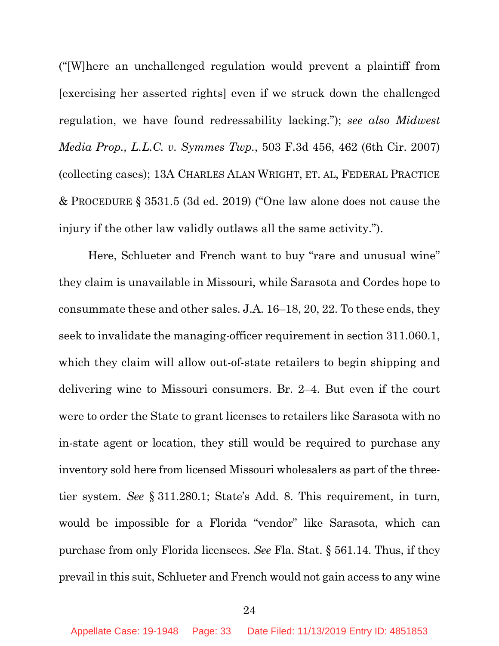("[W]here an unchallenged regulation would prevent a plaintiff from [exercising her asserted rights] even if we struck down the challenged regulation, we have found redressability lacking."); *see also Midwest Media Prop., L.L.C. v. Symmes Twp.*, 503 F.3d 456, 462 (6th Cir. 2007) (collecting cases); 13A CHARLES ALAN WRIGHT, ET. AL, FEDERAL PRACTICE & PROCEDURE § 3531.5 (3d ed. 2019) ("One law alone does not cause the injury if the other law validly outlaws all the same activity.").

Here, Schlueter and French want to buy "rare and unusual wine" they claim is unavailable in Missouri, while Sarasota and Cordes hope to consummate these and other sales. J.A. 16–18, 20, 22. To these ends, they seek to invalidate the managing-officer requirement in section 311.060.1, which they claim will allow out-of-state retailers to begin shipping and delivering wine to Missouri consumers. Br. 2–4. But even if the court were to order the State to grant licenses to retailers like Sarasota with no in-state agent or location, they still would be required to purchase any inventory sold here from licensed Missouri wholesalers as part of the threetier system. *See* § 311.280.1; State's Add. 8. This requirement, in turn, would be impossible for a Florida "vendor" like Sarasota, which can purchase from only Florida licensees. *See* Fla. Stat. § 561.14. Thus, if they prevail in this suit, Schlueter and French would not gain access to any wine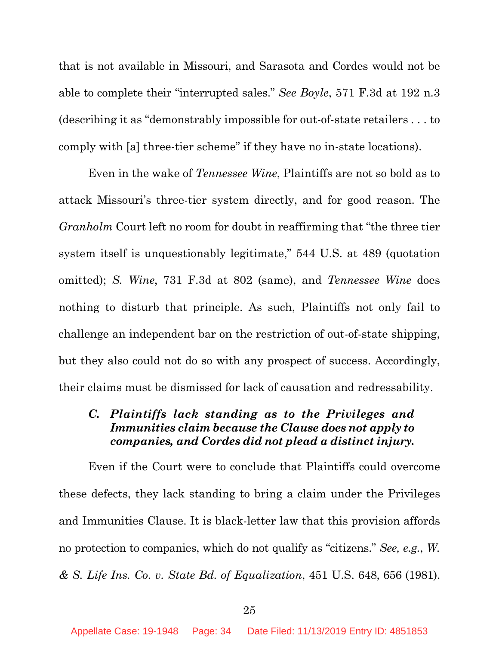that is not available in Missouri, and Sarasota and Cordes would not be able to complete their "interrupted sales." *See Boyle*, 571 F.3d at 192 n.3 (describing it as "demonstrably impossible for out-of-state retailers . . . to comply with [a] three-tier scheme" if they have no in-state locations).

Even in the wake of *Tennessee Wine*, Plaintiffs are not so bold as to attack Missouri's three-tier system directly, and for good reason. The *Granholm* Court left no room for doubt in reaffirming that "the three tier system itself is unquestionably legitimate," 544 U.S. at 489 (quotation omitted); *S. Wine*, 731 F.3d at 802 (same), and *Tennessee Wine* does nothing to disturb that principle. As such, Plaintiffs not only fail to challenge an independent bar on the restriction of out-of-state shipping, but they also could not do so with any prospect of success. Accordingly, their claims must be dismissed for lack of causation and redressability.

# *C. Plaintiffs lack standing as to the Privileges and Immunities claim because the Clause does not apply to companies, and Cordes did not plead a distinct injury.*

Even if the Court were to conclude that Plaintiffs could overcome these defects, they lack standing to bring a claim under the Privileges and Immunities Clause. It is black-letter law that this provision affords no protection to companies, which do not qualify as "citizens." *See, e.g.*, *W. & S. Life Ins. Co. v. State Bd. of Equalization*, 451 U.S. 648, 656 (1981).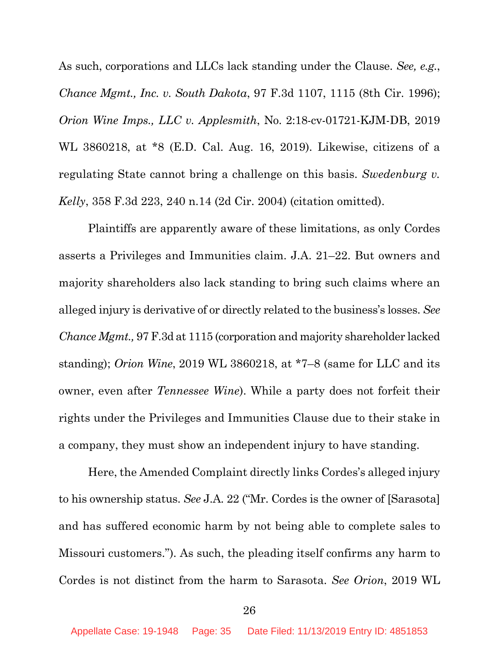As such, corporations and LLCs lack standing under the Clause. *See, e.g.*, *Chance Mgmt., Inc. v. South Dakota*, 97 F.3d 1107, 1115 (8th Cir. 1996); *Orion Wine Imps., LLC v. Applesmith*, No. 2:18-cv-01721-KJM-DB, 2019 WL 3860218, at \*8 (E.D. Cal. Aug. 16, 2019). Likewise, citizens of a regulating State cannot bring a challenge on this basis. *Swedenburg v. Kelly*, 358 F.3d 223, 240 n.14 (2d Cir. 2004) (citation omitted).

Plaintiffs are apparently aware of these limitations, as only Cordes asserts a Privileges and Immunities claim. J.A. 21–22. But owners and majority shareholders also lack standing to bring such claims where an alleged injury is derivative of or directly related to the business's losses. *See Chance Mgmt.,* 97 F.3d at 1115 (corporation and majority shareholder lacked standing); *Orion Wine*, 2019 WL 3860218, at \*7–8 (same for LLC and its owner, even after *Tennessee Wine*). While a party does not forfeit their rights under the Privileges and Immunities Clause due to their stake in a company, they must show an independent injury to have standing.

Here, the Amended Complaint directly links Cordes's alleged injury to his ownership status. *See* J.A. 22 ("Mr. Cordes is the owner of [Sarasota] and has suffered economic harm by not being able to complete sales to Missouri customers."). As such, the pleading itself confirms any harm to Cordes is not distinct from the harm to Sarasota. *See Orion*, 2019 WL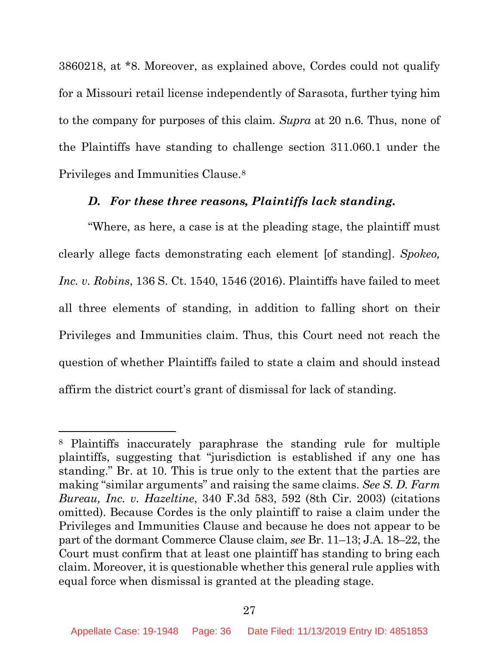3860218, at \*8. Moreover, as explained above, Cordes could not qualify for a Missouri retail license independently of Sarasota, further tying him to the company for purposes of this claim. *Supra* at 20 n.6. Thus, none of the Plaintiffs have standing to challenge section 311.060.1 under the Privileges and Immunities Clause.8

#### *D. For these three reasons, Plaintiffs lack standing.*

"Where, as here, a case is at the pleading stage, the plaintiff must clearly allege facts demonstrating each element [of standing]. *Spokeo, Inc. v. Robins*, 136 S. Ct. 1540, 1546 (2016). Plaintiffs have failed to meet all three elements of standing, in addition to falling short on their Privileges and Immunities claim. Thus, this Court need not reach the question of whether Plaintiffs failed to state a claim and should instead affirm the district court's grant of dismissal for lack of standing.

l

<sup>8</sup> Plaintiffs inaccurately paraphrase the standing rule for multiple plaintiffs, suggesting that "jurisdiction is established if any one has standing." Br. at 10. This is true only to the extent that the parties are making "similar arguments" and raising the same claims. *See S. D. Farm Bureau, Inc. v. Hazeltine*, 340 F.3d 583, 592 (8th Cir. 2003) (citations omitted). Because Cordes is the only plaintiff to raise a claim under the Privileges and Immunities Clause and because he does not appear to be part of the dormant Commerce Clause claim, *see* Br. 11–13; J.A. 18–22, the Court must confirm that at least one plaintiff has standing to bring each claim. Moreover, it is questionable whether this general rule applies with equal force when dismissal is granted at the pleading stage.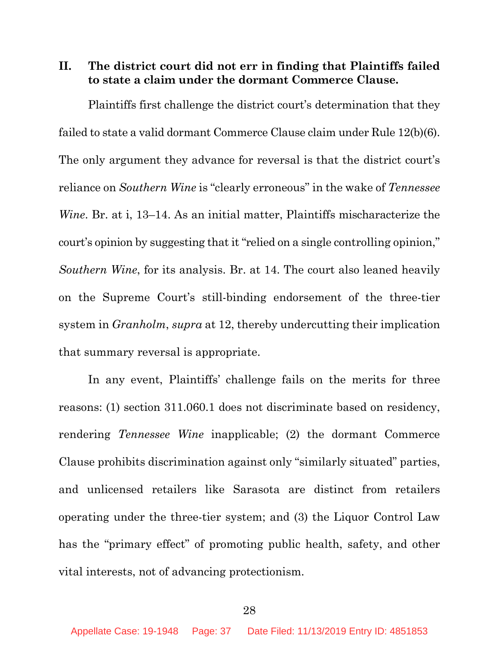**II. The district court did not err in finding that Plaintiffs failed to state a claim under the dormant Commerce Clause.** 

Plaintiffs first challenge the district court's determination that they failed to state a valid dormant Commerce Clause claim under Rule 12(b)(6). The only argument they advance for reversal is that the district court's reliance on *Southern Wine* is "clearly erroneous" in the wake of *Tennessee Wine*. Br. at i, 13–14. As an initial matter, Plaintiffs mischaracterize the court's opinion by suggesting that it "relied on a single controlling opinion," *Southern Wine*, for its analysis. Br. at 14. The court also leaned heavily on the Supreme Court's still-binding endorsement of the three-tier system in *Granholm*, *supra* at 12, thereby undercutting their implication that summary reversal is appropriate.

In any event, Plaintiffs' challenge fails on the merits for three reasons: (1) section 311.060.1 does not discriminate based on residency, rendering *Tennessee Wine* inapplicable; (2) the dormant Commerce Clause prohibits discrimination against only "similarly situated" parties, and unlicensed retailers like Sarasota are distinct from retailers operating under the three-tier system; and (3) the Liquor Control Law has the "primary effect" of promoting public health, safety, and other vital interests, not of advancing protectionism.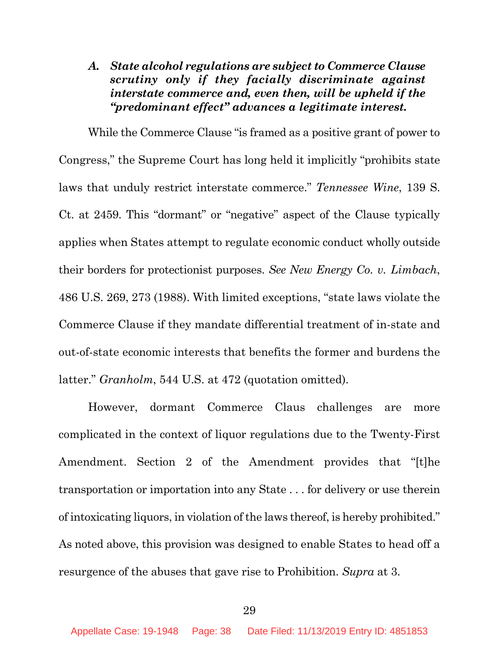# *A. State alcohol regulations are subject to Commerce Clause scrutiny only if they facially discriminate against interstate commerce and, even then, will be upheld if the "predominant effect" advances a legitimate interest.*

While the Commerce Clause "is framed as a positive grant of power to Congress," the Supreme Court has long held it implicitly "prohibits state laws that unduly restrict interstate commerce." *Tennessee Wine*, 139 S. Ct. at 2459. This "dormant" or "negative" aspect of the Clause typically applies when States attempt to regulate economic conduct wholly outside their borders for protectionist purposes. *See New Energy Co. v. Limbach*, 486 U.S. 269, 273 (1988). With limited exceptions, "state laws violate the Commerce Clause if they mandate differential treatment of in-state and out-of-state economic interests that benefits the former and burdens the latter." *Granholm*, 544 U.S. at 472 (quotation omitted).

However, dormant Commerce Claus challenges are more complicated in the context of liquor regulations due to the Twenty-First Amendment. Section 2 of the Amendment provides that "[t]he transportation or importation into any State . . . for delivery or use therein of intoxicating liquors, in violation of the laws thereof, is hereby prohibited." As noted above, this provision was designed to enable States to head off a resurgence of the abuses that gave rise to Prohibition. *Supra* at 3.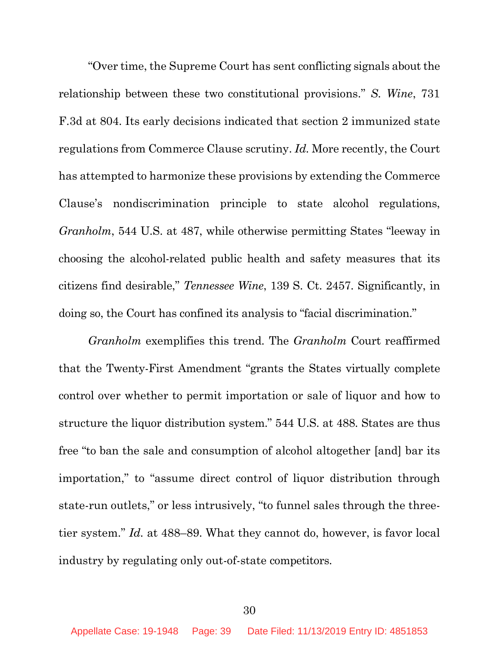"Over time, the Supreme Court has sent conflicting signals about the relationship between these two constitutional provisions." *S. Wine*, 731 F.3d at 804. Its early decisions indicated that section 2 immunized state regulations from Commerce Clause scrutiny. *Id.* More recently, the Court has attempted to harmonize these provisions by extending the Commerce Clause's nondiscrimination principle to state alcohol regulations, *Granholm*, 544 U.S. at 487, while otherwise permitting States "leeway in choosing the alcohol-related public health and safety measures that its citizens find desirable," *Tennessee Wine*, 139 S. Ct. 2457. Significantly, in doing so, the Court has confined its analysis to "facial discrimination."

*Granholm* exemplifies this trend. The *Granholm* Court reaffirmed that the Twenty-First Amendment "grants the States virtually complete control over whether to permit importation or sale of liquor and how to structure the liquor distribution system." 544 U.S. at 488. States are thus free "to ban the sale and consumption of alcohol altogether [and] bar its importation," to "assume direct control of liquor distribution through state-run outlets," or less intrusively, "to funnel sales through the threetier system." *Id.* at 488–89. What they cannot do, however, is favor local industry by regulating only out-of-state competitors.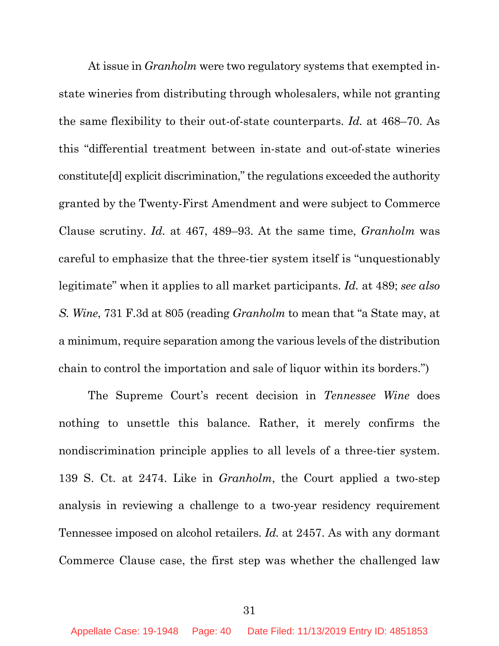At issue in *Granholm* were two regulatory systems that exempted instate wineries from distributing through wholesalers, while not granting the same flexibility to their out-of-state counterparts. *Id.* at 468–70. As this "differential treatment between in-state and out-of-state wineries constitute[d] explicit discrimination," the regulations exceeded the authority granted by the Twenty-First Amendment and were subject to Commerce Clause scrutiny. *Id.* at 467, 489–93. At the same time, *Granholm* was careful to emphasize that the three-tier system itself is "unquestionably legitimate" when it applies to all market participants. *Id.* at 489; *see also S. Wine*, 731 F.3d at 805 (reading *Granholm* to mean that "a State may, at a minimum, require separation among the various levels of the distribution chain to control the importation and sale of liquor within its borders.")

The Supreme Court's recent decision in *Tennessee Wine* does nothing to unsettle this balance. Rather, it merely confirms the nondiscrimination principle applies to all levels of a three-tier system. 139 S. Ct. at 2474. Like in *Granholm*, the Court applied a two-step analysis in reviewing a challenge to a two-year residency requirement Tennessee imposed on alcohol retailers. *Id.* at 2457. As with any dormant Commerce Clause case, the first step was whether the challenged law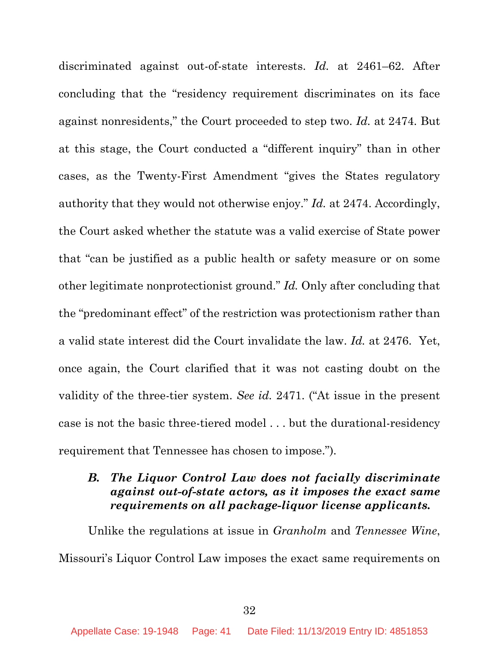discriminated against out-of-state interests. *Id.* at 2461–62. After concluding that the "residency requirement discriminates on its face against nonresidents," the Court proceeded to step two. *Id.* at 2474. But at this stage, the Court conducted a "different inquiry" than in other cases, as the Twenty-First Amendment "gives the States regulatory authority that they would not otherwise enjoy." *Id.* at 2474. Accordingly, the Court asked whether the statute was a valid exercise of State power that "can be justified as a public health or safety measure or on some other legitimate nonprotectionist ground." *Id.* Only after concluding that the "predominant effect" of the restriction was protectionism rather than a valid state interest did the Court invalidate the law. *Id.* at 2476. Yet, once again, the Court clarified that it was not casting doubt on the validity of the three-tier system. *See id.* 2471. ("At issue in the present case is not the basic three-tiered model . . . but the durational-residency requirement that Tennessee has chosen to impose.").

## *B. The Liquor Control Law does not facially discriminate against out-of-state actors, as it imposes the exact same requirements on all package-liquor license applicants.*

Unlike the regulations at issue in *Granholm* and *Tennessee Wine*, Missouri's Liquor Control Law imposes the exact same requirements on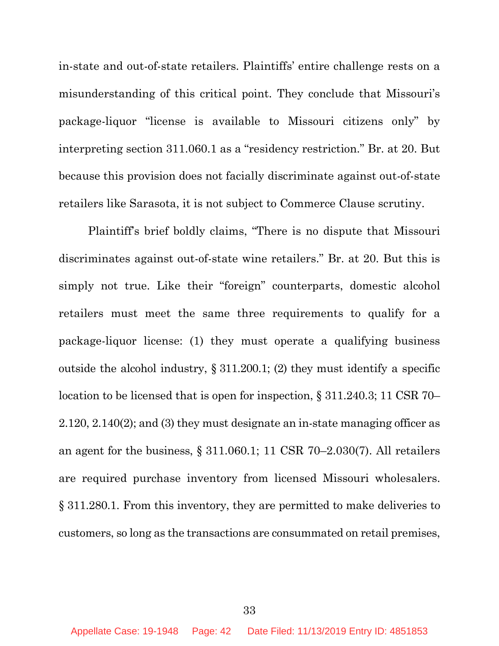in-state and out-of-state retailers. Plaintiffs' entire challenge rests on a misunderstanding of this critical point. They conclude that Missouri's package-liquor "license is available to Missouri citizens only" by interpreting section 311.060.1 as a "residency restriction." Br. at 20. But because this provision does not facially discriminate against out-of-state retailers like Sarasota, it is not subject to Commerce Clause scrutiny.

Plaintiff's brief boldly claims, "There is no dispute that Missouri discriminates against out-of-state wine retailers." Br. at 20. But this is simply not true. Like their "foreign" counterparts, domestic alcohol retailers must meet the same three requirements to qualify for a package-liquor license: (1) they must operate a qualifying business outside the alcohol industry, § 311.200.1; (2) they must identify a specific location to be licensed that is open for inspection, § 311.240.3; 11 CSR 70– 2.120, 2.140(2); and (3) they must designate an in-state managing officer as an agent for the business, § 311.060.1; 11 CSR 70–2.030(7). All retailers are required purchase inventory from licensed Missouri wholesalers. § 311.280.1. From this inventory, they are permitted to make deliveries to customers, so long as the transactions are consummated on retail premises,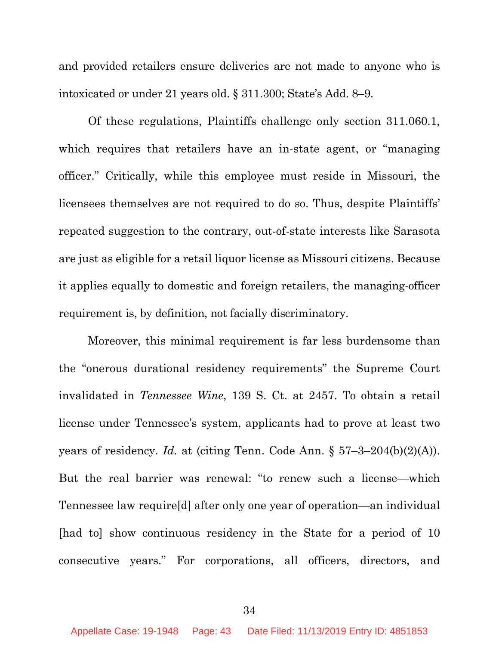and provided retailers ensure deliveries are not made to anyone who is intoxicated or under 21 years old. § 311.300; State's Add. 8–9.

Of these regulations, Plaintiffs challenge only section 311.060.1, which requires that retailers have an in-state agent, or "managing officer." Critically, while this employee must reside in Missouri, the licensees themselves are not required to do so. Thus, despite Plaintiffs' repeated suggestion to the contrary, out-of-state interests like Sarasota are just as eligible for a retail liquor license as Missouri citizens. Because it applies equally to domestic and foreign retailers, the managing-officer requirement is, by definition, not facially discriminatory.

Moreover, this minimal requirement is far less burdensome than the "onerous durational residency requirements" the Supreme Court invalidated in *Tennessee Wine*, 139 S. Ct. at 2457. To obtain a retail license under Tennessee's system, applicants had to prove at least two years of residency. *Id.* at (citing Tenn. Code Ann. § 57–3–204(b)(2)(A)). But the real barrier was renewal: "to renew such a license—which Tennessee law require[d] after only one year of operation—an individual [had to] show continuous residency in the State for a period of 10 consecutive years." For corporations, all officers, directors, and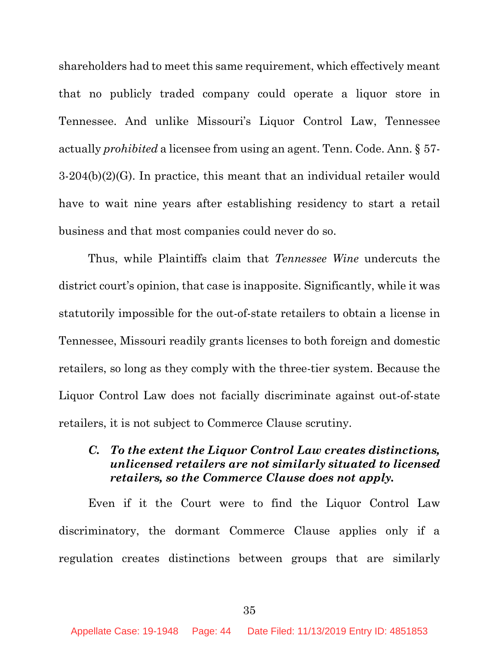shareholders had to meet this same requirement, which effectively meant that no publicly traded company could operate a liquor store in Tennessee. And unlike Missouri's Liquor Control Law, Tennessee actually *prohibited* a licensee from using an agent. Tenn. Code. Ann. § 57- 3-204(b)(2)(G). In practice, this meant that an individual retailer would have to wait nine years after establishing residency to start a retail business and that most companies could never do so.

Thus, while Plaintiffs claim that *Tennessee Wine* undercuts the district court's opinion, that case is inapposite. Significantly, while it was statutorily impossible for the out-of-state retailers to obtain a license in Tennessee, Missouri readily grants licenses to both foreign and domestic retailers, so long as they comply with the three-tier system. Because the Liquor Control Law does not facially discriminate against out-of-state retailers, it is not subject to Commerce Clause scrutiny.

# *C. To the extent the Liquor Control Law creates distinctions, unlicensed retailers are not similarly situated to licensed retailers, so the Commerce Clause does not apply.*

Even if it the Court were to find the Liquor Control Law discriminatory, the dormant Commerce Clause applies only if a regulation creates distinctions between groups that are similarly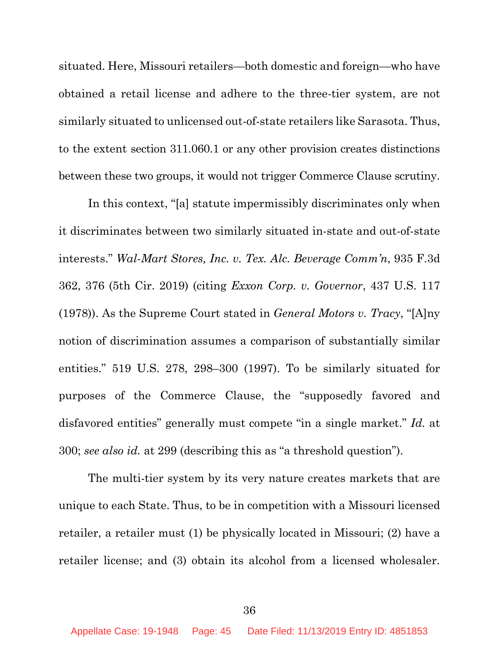situated. Here, Missouri retailers—both domestic and foreign—who have obtained a retail license and adhere to the three-tier system, are not similarly situated to unlicensed out-of-state retailers like Sarasota. Thus, to the extent section 311.060.1 or any other provision creates distinctions between these two groups, it would not trigger Commerce Clause scrutiny.

In this context, "[a] statute impermissibly discriminates only when it discriminates between two similarly situated in-state and out-of-state interests." *Wal-Mart Stores, Inc. v. Tex. Alc. Beverage Comm'n*, 935 F.3d 362, 376 (5th Cir. 2019) (citing *Exxon Corp. v. Governor*, 437 U.S. 117 (1978)). As the Supreme Court stated in *General Motors v. Tracy*, "[A]ny notion of discrimination assumes a comparison of substantially similar entities." 519 U.S. 278, 298–300 (1997). To be similarly situated for purposes of the Commerce Clause, the "supposedly favored and disfavored entities" generally must compete "in a single market." *Id.* at 300; *see also id.* at 299 (describing this as "a threshold question").

The multi-tier system by its very nature creates markets that are unique to each State. Thus, to be in competition with a Missouri licensed retailer, a retailer must (1) be physically located in Missouri; (2) have a retailer license; and (3) obtain its alcohol from a licensed wholesaler.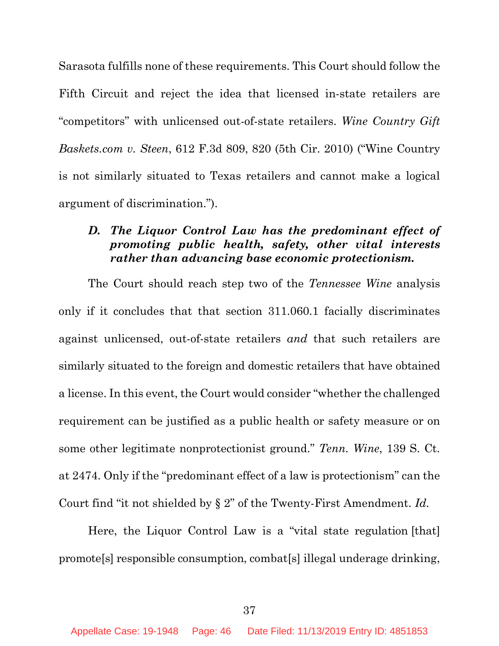Sarasota fulfills none of these requirements. This Court should follow the Fifth Circuit and reject the idea that licensed in-state retailers are "competitors" with unlicensed out-of-state retailers. *Wine Country Gift Baskets.com v. Steen*, 612 F.3d 809, 820 (5th Cir. 2010) ("Wine Country is not similarly situated to Texas retailers and cannot make a logical argument of discrimination.").

## *D. The Liquor Control Law has the predominant effect of promoting public health, safety, other vital interests rather than advancing base economic protectionism.*

The Court should reach step two of the *Tennessee Wine* analysis only if it concludes that that section 311.060.1 facially discriminates against unlicensed, out-of-state retailers *and* that such retailers are similarly situated to the foreign and domestic retailers that have obtained a license. In this event, the Court would consider "whether the challenged requirement can be justified as a public health or safety measure or on some other legitimate nonprotectionist ground." *Tenn. Wine*, 139 S. Ct. at 2474. Only if the "predominant effect of a law is protectionism" can the Court find "it not shielded by § 2" of the Twenty-First Amendment. *Id.*

Here, the Liquor Control Law is a "vital state regulation [that] promote[s] responsible consumption, combat[s] illegal underage drinking,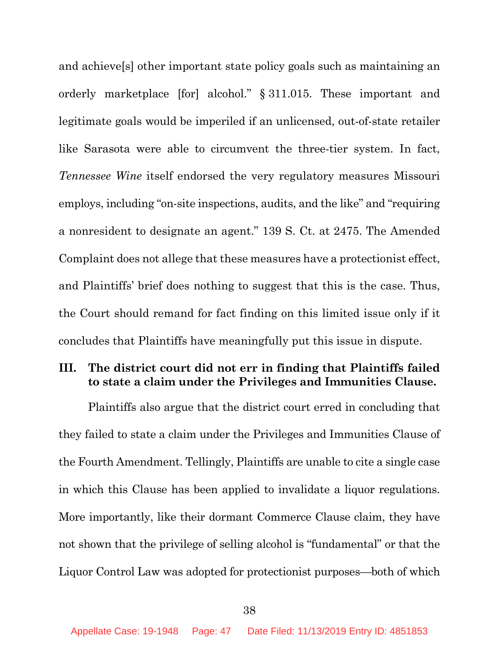and achieve[s] other important state policy goals such as maintaining an orderly marketplace [for] alcohol." § 311.015. These important and legitimate goals would be imperiled if an unlicensed, out-of-state retailer like Sarasota were able to circumvent the three-tier system. In fact, *Tennessee Wine* itself endorsed the very regulatory measures Missouri employs, including "on-site inspections, audits, and the like" and "requiring a nonresident to designate an agent." 139 S. Ct. at 2475. The Amended Complaint does not allege that these measures have a protectionist effect, and Plaintiffs' brief does nothing to suggest that this is the case. Thus, the Court should remand for fact finding on this limited issue only if it concludes that Plaintiffs have meaningfully put this issue in dispute.

# **III. The district court did not err in finding that Plaintiffs failed to state a claim under the Privileges and Immunities Clause.**

Plaintiffs also argue that the district court erred in concluding that they failed to state a claim under the Privileges and Immunities Clause of the Fourth Amendment. Tellingly, Plaintiffs are unable to cite a single case in which this Clause has been applied to invalidate a liquor regulations. More importantly, like their dormant Commerce Clause claim, they have not shown that the privilege of selling alcohol is "fundamental" or that the Liquor Control Law was adopted for protectionist purposes—both of which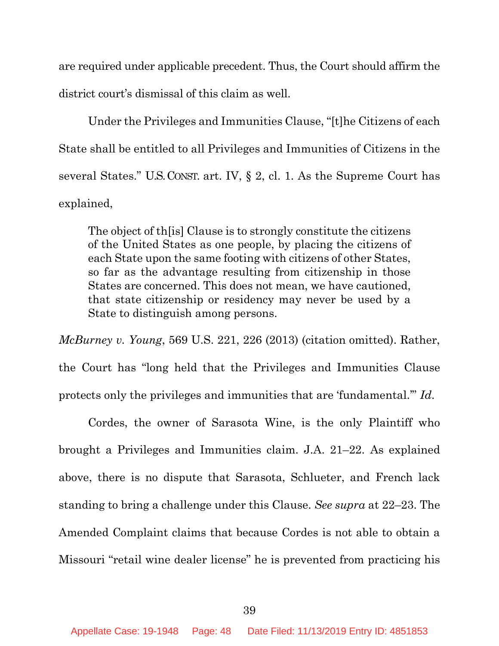are required under applicable precedent. Thus, the Court should affirm the district court's dismissal of this claim as well.

Under the Privileges and Immunities Clause, "[t]he Citizens of each State shall be entitled to all Privileges and Immunities of Citizens in the several States." U.S.CONST. art. IV, § 2, cl. 1. As the Supreme Court has explained,

The object of th[is] Clause is to strongly constitute the citizens of the United States as one people, by placing the citizens of each State upon the same footing with citizens of other States, so far as the advantage resulting from citizenship in those States are concerned. This does not mean, we have cautioned, that state citizenship or residency may never be used by a State to distinguish among persons.

*McBurney v. Young*, 569 U.S. 221, 226 (2013) (citation omitted). Rather, the Court has "long held that the Privileges and Immunities Clause protects only the privileges and immunities that are 'fundamental.'" *Id*.

Cordes, the owner of Sarasota Wine, is the only Plaintiff who brought a Privileges and Immunities claim. J.A. 21–22. As explained above, there is no dispute that Sarasota, Schlueter, and French lack standing to bring a challenge under this Clause. *See supra* at 22–23. The Amended Complaint claims that because Cordes is not able to obtain a Missouri "retail wine dealer license" he is prevented from practicing his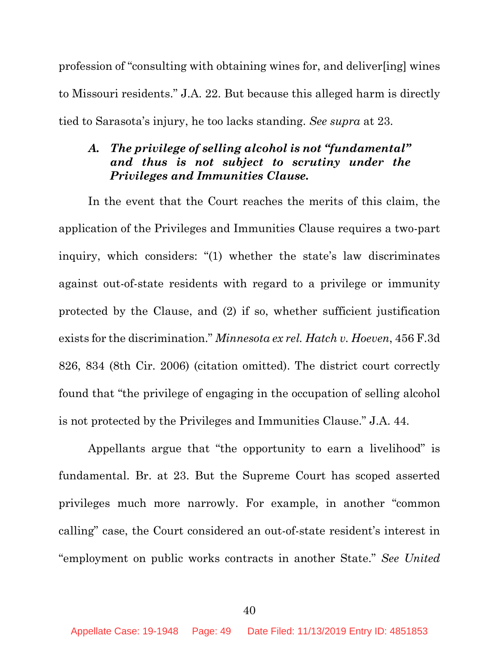profession of "consulting with obtaining wines for, and deliver[ing] wines to Missouri residents." J.A. 22. But because this alleged harm is directly tied to Sarasota's injury, he too lacks standing. *See supra* at 23.

# *A. The privilege of selling alcohol is not "fundamental" and thus is not subject to scrutiny under the Privileges and Immunities Clause.*

In the event that the Court reaches the merits of this claim, the application of the Privileges and Immunities Clause requires a two-part inquiry, which considers: "(1) whether the state's law discriminates against out-of-state residents with regard to a privilege or immunity protected by the Clause, and (2) if so, whether sufficient justification exists for the discrimination." *Minnesota ex rel. Hatch v. Hoeven*, 456 F.3d 826, 834 (8th Cir. 2006) (citation omitted). The district court correctly found that "the privilege of engaging in the occupation of selling alcohol is not protected by the Privileges and Immunities Clause." J.A. 44.

Appellants argue that "the opportunity to earn a livelihood" is fundamental. Br. at 23. But the Supreme Court has scoped asserted privileges much more narrowly. For example, in another "common calling" case, the Court considered an out-of-state resident's interest in "employment on public works contracts in another State." *See United*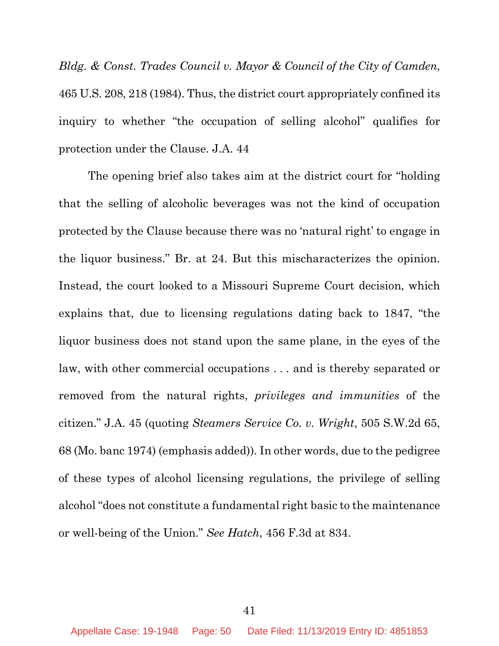*Bldg. & Const. Trades Council v. Mayor & Council of the City of Camden*, 465 U.S. 208, 218 (1984). Thus, the district court appropriately confined its inquiry to whether "the occupation of selling alcohol" qualifies for protection under the Clause. J.A. 44

The opening brief also takes aim at the district court for "holding that the selling of alcoholic beverages was not the kind of occupation protected by the Clause because there was no 'natural right' to engage in the liquor business." Br. at 24. But this mischaracterizes the opinion. Instead, the court looked to a Missouri Supreme Court decision, which explains that, due to licensing regulations dating back to 1847, "the liquor business does not stand upon the same plane, in the eyes of the law, with other commercial occupations . . . and is thereby separated or removed from the natural rights, *privileges and immunities* of the citizen." J.A. 45 (quoting *Steamers Service Co. v. Wright*, 505 S.W.2d 65, 68 (Mo. banc 1974) (emphasis added)). In other words, due to the pedigree of these types of alcohol licensing regulations, the privilege of selling alcohol "does not constitute a fundamental right basic to the maintenance or well-being of the Union." *See Hatch*, 456 F.3d at 834.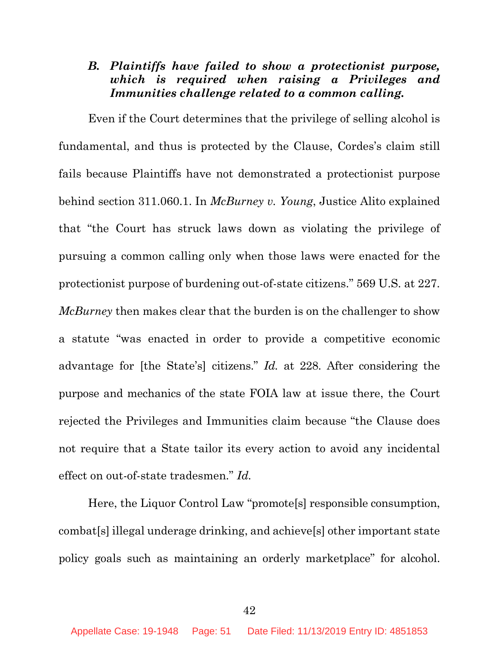## *B. Plaintiffs have failed to show a protectionist purpose, which is required when raising a Privileges and Immunities challenge related to a common calling.*

Even if the Court determines that the privilege of selling alcohol is fundamental, and thus is protected by the Clause, Cordes's claim still fails because Plaintiffs have not demonstrated a protectionist purpose behind section 311.060.1. In *McBurney v. Young*, Justice Alito explained that "the Court has struck laws down as violating the privilege of pursuing a common calling only when those laws were enacted for the protectionist purpose of burdening out-of-state citizens." 569 U.S. at 227. *McBurney* then makes clear that the burden is on the challenger to show a statute "was enacted in order to provide a competitive economic advantage for [the State's] citizens." *Id.* at 228. After considering the purpose and mechanics of the state FOIA law at issue there, the Court rejected the Privileges and Immunities claim because "the Clause does not require that a State tailor its every action to avoid any incidental effect on out-of-state tradesmen." *Id.*

Here, the Liquor Control Law "promote[s] responsible consumption, combat[s] illegal underage drinking, and achieve[s] other important state policy goals such as maintaining an orderly marketplace" for alcohol.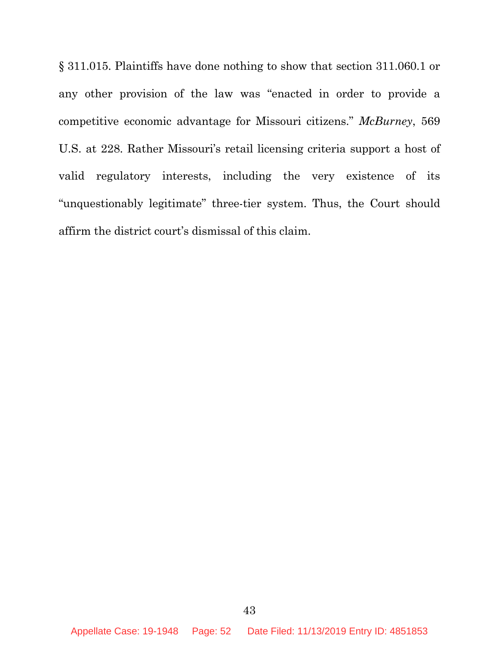§ 311.015. Plaintiffs have done nothing to show that section 311.060.1 or any other provision of the law was "enacted in order to provide a competitive economic advantage for Missouri citizens." *McBurney*, 569 U.S. at 228. Rather Missouri's retail licensing criteria support a host of valid regulatory interests, including the very existence of its "unquestionably legitimate" three-tier system. Thus, the Court should affirm the district court's dismissal of this claim.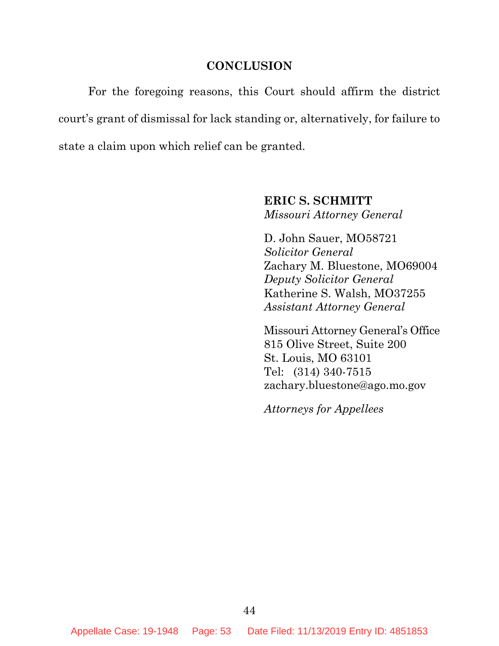#### **CONCLUSION**

For the foregoing reasons, this Court should affirm the district court's grant of dismissal for lack standing or, alternatively, for failure to state a claim upon which relief can be granted.

> **ERIC S. SCHMITT** *Missouri Attorney General*

D. John Sauer, MO58721 *Solicitor General* Zachary M. Bluestone, MO69004 *Deputy Solicitor General* Katherine S. Walsh, MO37255 *Assistant Attorney General*

Missouri Attorney General's Office 815 Olive Street, Suite 200 St. Louis, MO 63101 Tel: (314) 340-7515 zachary.bluestone@ago.mo.gov

*Attorneys for Appellees*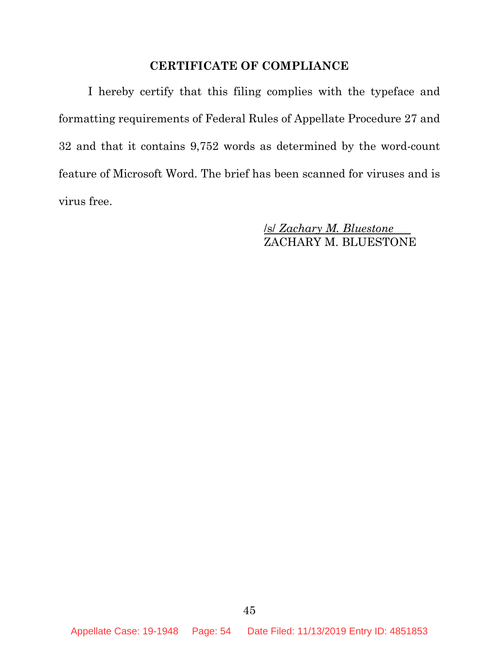## **CERTIFICATE OF COMPLIANCE**

I hereby certify that this filing complies with the typeface and formatting requirements of Federal Rules of Appellate Procedure 27 and 32 and that it contains 9,752 words as determined by the word-count feature of Microsoft Word. The brief has been scanned for viruses and is virus free.

> /s/ *Zachary M. Bluestone* ZACHARY M. BLUESTONE